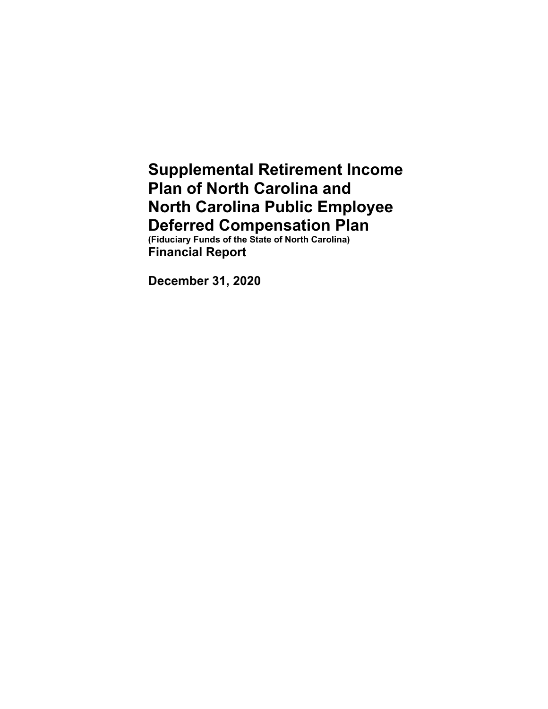# **Supplemental Retirement Income Plan of North Carolina and North Carolina Public Employee Deferred Compensation Plan**

**(Fiduciary Funds of the State of North Carolina) Financial Report** 

**December 31, 2020**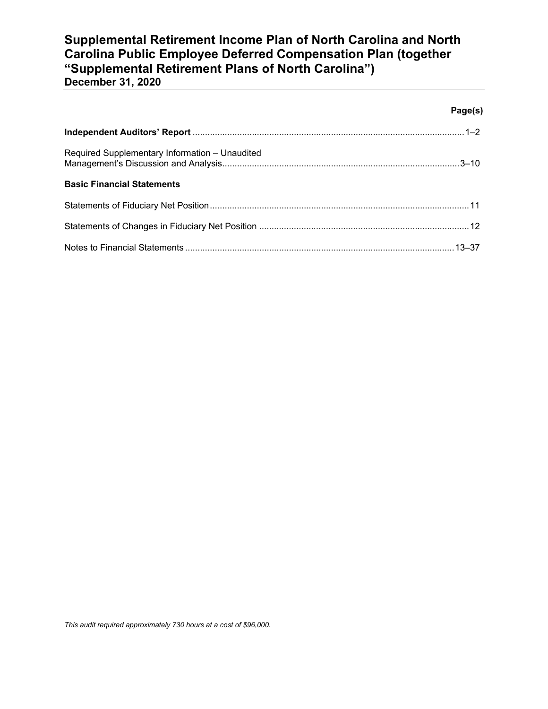# **Supplemental Retirement Income Plan of North Carolina and North Carolina Public Employee Deferred Compensation Plan (together "Supplemental Retirement Plans of North Carolina")**

**December 31, 2020** 

|                                                | Page(s) |
|------------------------------------------------|---------|
|                                                |         |
| Required Supplementary Information - Unaudited |         |
| <b>Basic Financial Statements</b>              |         |
|                                                |         |
|                                                |         |
|                                                |         |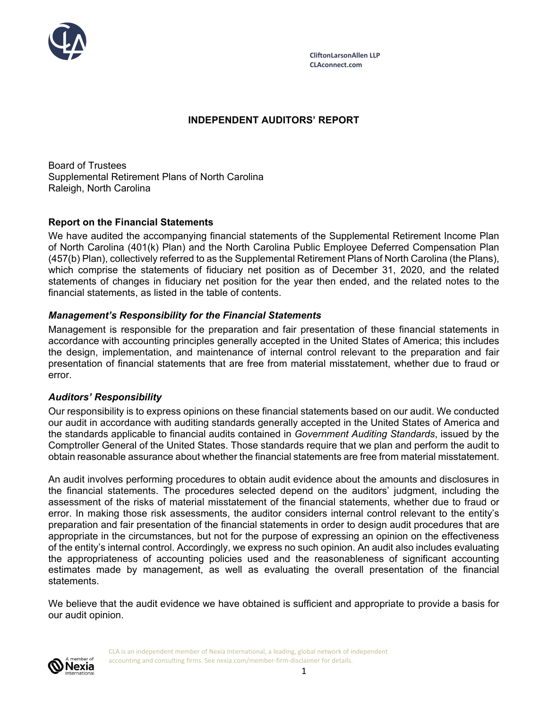

**CliftonLarsonAllen LLP CLAconnect.com**

# **INDEPENDENT AUDITORS' REPORT**

Board of Trustees Supplemental Retirement Plans of North Carolina Raleigh, North Carolina

## **Report on the Financial Statements**

We have audited the accompanying financial statements of the Supplemental Retirement Income Plan of North Carolina (401(k) Plan) and the North Carolina Public Employee Deferred Compensation Plan (457(b) Plan), collectively referred to as the Supplemental Retirement Plans of North Carolina (the Plans), which comprise the statements of fiduciary net position as of December 31, 2020, and the related statements of changes in fiduciary net position for the year then ended, and the related notes to the financial statements, as listed in the table of contents.

# *Management's Responsibility for the Financial Statements*

Management is responsible for the preparation and fair presentation of these financial statements in accordance with accounting principles generally accepted in the United States of America; this includes the design, implementation, and maintenance of internal control relevant to the preparation and fair presentation of financial statements that are free from material misstatement, whether due to fraud or error.

# *Auditors' Responsibility*

Our responsibility is to express opinions on these financial statements based on our audit. We conducted our audit in accordance with auditing standards generally accepted in the United States of America and the standards applicable to financial audits contained in *Government Auditing Standards*, issued by the Comptroller General of the United States. Those standards require that we plan and perform the audit to obtain reasonable assurance about whether the financial statements are free from material misstatement.

An audit involves performing procedures to obtain audit evidence about the amounts and disclosures in the financial statements. The procedures selected depend on the auditors' judgment, including the assessment of the risks of material misstatement of the financial statements, whether due to fraud or error. In making those risk assessments, the auditor considers internal control relevant to the entity's preparation and fair presentation of the financial statements in order to design audit procedures that are appropriate in the circumstances, but not for the purpose of expressing an opinion on the effectiveness of the entity's internal control. Accordingly, we express no such opinion. An audit also includes evaluating the appropriateness of accounting policies used and the reasonableness of significant accounting estimates made by management, as well as evaluating the overall presentation of the financial statements.

We believe that the audit evidence we have obtained is sufficient and appropriate to provide a basis for our audit opinion.



CLA is an independent member of Nexia International, a leading, global network of independent accounting and consulting firms. See nexia.com/member‐firm‐disclaimer for details.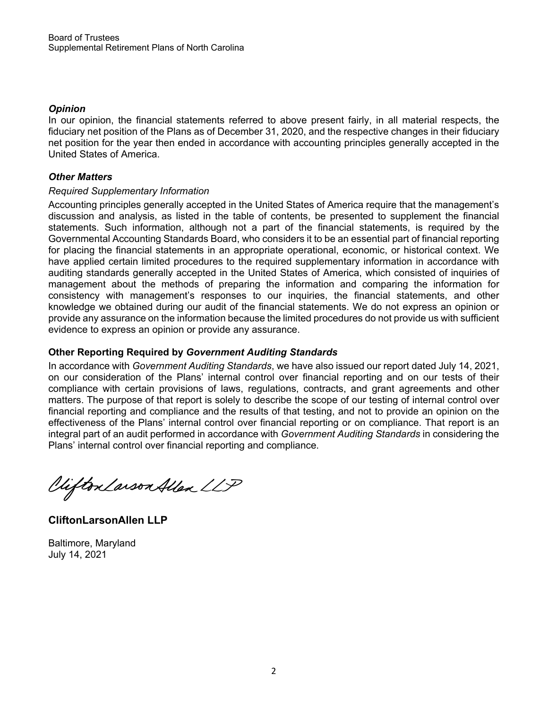# *Opinion*

In our opinion, the financial statements referred to above present fairly, in all material respects, the fiduciary net position of the Plans as of December 31, 2020, and the respective changes in their fiduciary net position for the year then ended in accordance with accounting principles generally accepted in the United States of America.

# *Other Matters*

# *Required Supplementary Information*

Accounting principles generally accepted in the United States of America require that the management's discussion and analysis, as listed in the table of contents, be presented to supplement the financial statements. Such information, although not a part of the financial statements, is required by the Governmental Accounting Standards Board, who considers it to be an essential part of financial reporting for placing the financial statements in an appropriate operational, economic, or historical context. We have applied certain limited procedures to the required supplementary information in accordance with auditing standards generally accepted in the United States of America, which consisted of inquiries of management about the methods of preparing the information and comparing the information for consistency with management's responses to our inquiries, the financial statements, and other knowledge we obtained during our audit of the financial statements. We do not express an opinion or provide any assurance on the information because the limited procedures do not provide us with sufficient evidence to express an opinion or provide any assurance.

# **Other Reporting Required by** *Government Auditing Standards*

In accordance with *Government Auditing Standards*, we have also issued our report dated July 14, 2021, on our consideration of the Plans' internal control over financial reporting and on our tests of their compliance with certain provisions of laws, regulations, contracts, and grant agreements and other matters. The purpose of that report is solely to describe the scope of our testing of internal control over financial reporting and compliance and the results of that testing, and not to provide an opinion on the effectiveness of the Plans' internal control over financial reporting or on compliance. That report is an integral part of an audit performed in accordance with *Government Auditing Standards* in considering the Plans' internal control over financial reporting and compliance.

Viifton Larson Allen LLP

**CliftonLarsonAllen LLP** 

Baltimore, Maryland July 14, 2021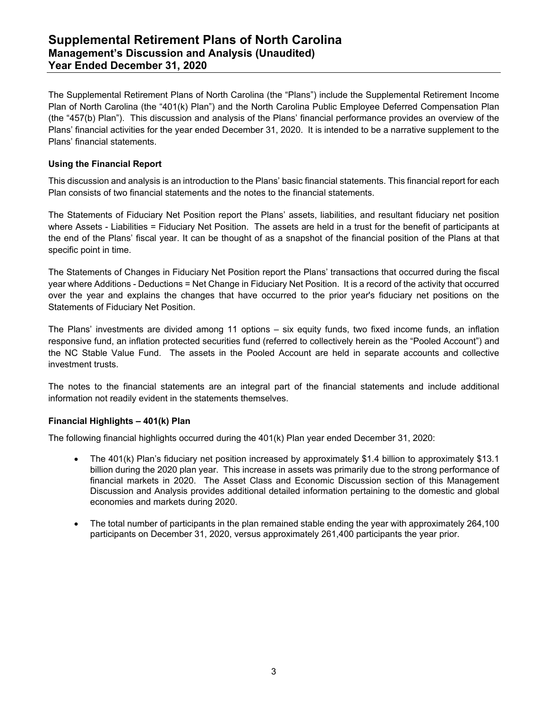The Supplemental Retirement Plans of North Carolina (the "Plans") include the Supplemental Retirement Income Plan of North Carolina (the "401(k) Plan") and the North Carolina Public Employee Deferred Compensation Plan (the "457(b) Plan"). This discussion and analysis of the Plans' financial performance provides an overview of the Plans' financial activities for the year ended December 31, 2020. It is intended to be a narrative supplement to the Plans' financial statements.

## **Using the Financial Report**

This discussion and analysis is an introduction to the Plans' basic financial statements. This financial report for each Plan consists of two financial statements and the notes to the financial statements.

The Statements of Fiduciary Net Position report the Plans' assets, liabilities, and resultant fiduciary net position where Assets - Liabilities = Fiduciary Net Position. The assets are held in a trust for the benefit of participants at the end of the Plans' fiscal year. It can be thought of as a snapshot of the financial position of the Plans at that specific point in time.

The Statements of Changes in Fiduciary Net Position report the Plans' transactions that occurred during the fiscal year where Additions - Deductions = Net Change in Fiduciary Net Position. It is a record of the activity that occurred over the year and explains the changes that have occurred to the prior year's fiduciary net positions on the Statements of Fiduciary Net Position.

The Plans' investments are divided among 11 options – six equity funds, two fixed income funds, an inflation responsive fund, an inflation protected securities fund (referred to collectively herein as the "Pooled Account") and the NC Stable Value Fund. The assets in the Pooled Account are held in separate accounts and collective investment trusts.

The notes to the financial statements are an integral part of the financial statements and include additional information not readily evident in the statements themselves.

## **Financial Highlights – 401(k) Plan**

The following financial highlights occurred during the 401(k) Plan year ended December 31, 2020:

- The 401(k) Plan's fiduciary net position increased by approximately \$1.4 billion to approximately \$13.1 billion during the 2020 plan year. This increase in assets was primarily due to the strong performance of financial markets in 2020. The Asset Class and Economic Discussion section of this Management Discussion and Analysis provides additional detailed information pertaining to the domestic and global economies and markets during 2020.
- The total number of participants in the plan remained stable ending the year with approximately 264,100 participants on December 31, 2020, versus approximately 261,400 participants the year prior.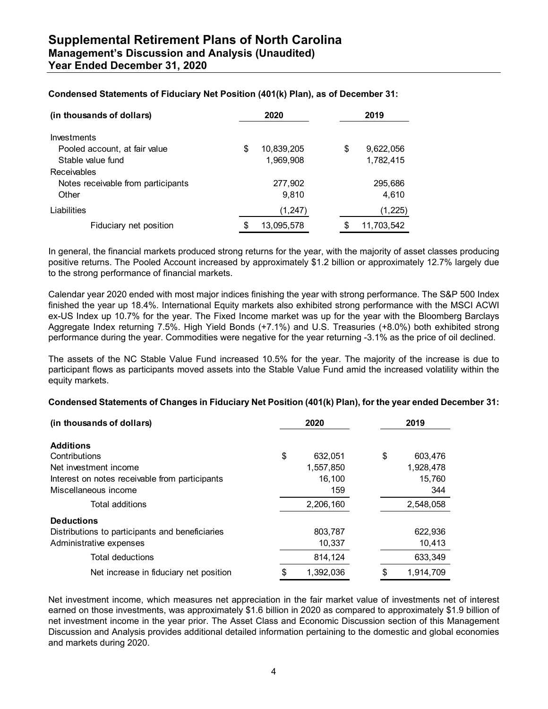| (in thousands of dollars)          | 2020             | 2019             |
|------------------------------------|------------------|------------------|
| Investments                        |                  |                  |
| Pooled account, at fair value      | \$<br>10,839,205 | \$<br>9,622,056  |
| Stable value fund                  | 1.969.908        | 1,782,415        |
| <b>Receivables</b>                 |                  |                  |
| Notes receivable from participants | 277,902          | 295,686          |
| Other                              | 9.810            | 4,610            |
| Liabilities                        | (1, 247)         | (1, 225)         |
| Fiduciary net position             | \$<br>13.095.578 | \$<br>11,703,542 |

## **Condensed Statements of Fiduciary Net Position (401(k) Plan), as of December 31:**

In general, the financial markets produced strong returns for the year, with the majority of asset classes producing positive returns. The Pooled Account increased by approximately \$1.2 billion or approximately 12.7% largely due to the strong performance of financial markets.

Calendar year 2020 ended with most major indices finishing the year with strong performance. The S&P 500 Index finished the year up 18.4%. International Equity markets also exhibited strong performance with the MSCI ACWI ex-US Index up 10.7% for the year. The Fixed Income market was up for the year with the Bloomberg Barclays Aggregate Index returning 7.5%. High Yield Bonds (+7.1%) and U.S. Treasuries (+8.0%) both exhibited strong performance during the year. Commodities were negative for the year returning -3.1% as the price of oil declined.

The assets of the NC Stable Value Fund increased 10.5% for the year. The majority of the increase is due to participant flows as participants moved assets into the Stable Value Fund amid the increased volatility within the equity markets.

## **Condensed Statements of Changes in Fiduciary Net Position (401(k) Plan), for the year ended December 31:**

| (in thousands of dollars)                       | 2020            | 2019            |
|-------------------------------------------------|-----------------|-----------------|
| <b>Additions</b>                                |                 |                 |
| Contributions                                   | \$<br>632,051   | \$<br>603,476   |
| Net investment income                           | 1,557,850       | 1,928,478       |
| Interest on notes receivable from participants  | 16,100          | 15.760          |
| Miscellaneous income                            | 159             | 344             |
| <b>Total additions</b>                          | 2,206,160       | 2,548,058       |
| <b>Deductions</b>                               |                 |                 |
| Distributions to participants and beneficiaries | 803,787         | 622,936         |
| Administrative expenses                         | 10,337          | 10,413          |
| <b>Total deductions</b>                         | 814,124         | 633,349         |
| Net increase in fiduciary net position          | \$<br>1,392,036 | \$<br>1,914,709 |

Net investment income, which measures net appreciation in the fair market value of investments net of interest earned on those investments, was approximately \$1.6 billion in 2020 as compared to approximately \$1.9 billion of net investment income in the year prior. The Asset Class and Economic Discussion section of this Management Discussion and Analysis provides additional detailed information pertaining to the domestic and global economies and markets during 2020.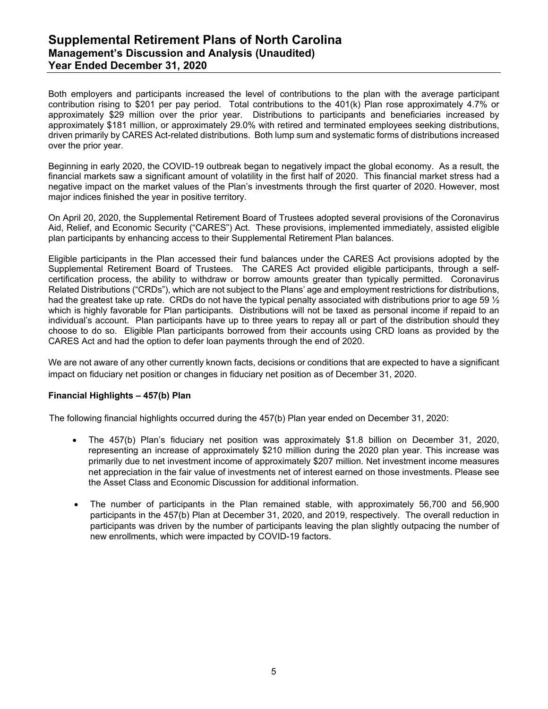# **Supplemental Retirement Plans of North Carolina Management's Discussion and Analysis (Unaudited) Year Ended December 31, 2020**

Both employers and participants increased the level of contributions to the plan with the average participant contribution rising to \$201 per pay period. Total contributions to the 401(k) Plan rose approximately 4.7% or approximately \$29 million over the prior year. Distributions to participants and beneficiaries increased by approximately \$181 million, or approximately 29.0% with retired and terminated employees seeking distributions, driven primarily by CARES Act-related distributions. Both lump sum and systematic forms of distributions increased over the prior year.

Beginning in early 2020, the COVID-19 outbreak began to negatively impact the global economy. As a result, the financial markets saw a significant amount of volatility in the first half of 2020. This financial market stress had a negative impact on the market values of the Plan's investments through the first quarter of 2020. However, most major indices finished the year in positive territory.

On April 20, 2020, the Supplemental Retirement Board of Trustees adopted several provisions of the Coronavirus Aid, Relief, and Economic Security ("CARES") Act. These provisions, implemented immediately, assisted eligible plan participants by enhancing access to their Supplemental Retirement Plan balances.

Eligible participants in the Plan accessed their fund balances under the CARES Act provisions adopted by the Supplemental Retirement Board of Trustees. The CARES Act provided eligible participants, through a selfcertification process, the ability to withdraw or borrow amounts greater than typically permitted. Coronavirus Related Distributions ("CRDs"), which are not subject to the Plans' age and employment restrictions for distributions, had the greatest take up rate. CRDs do not have the typical penalty associated with distributions prior to age 59  $\frac{1}{2}$ which is highly favorable for Plan participants. Distributions will not be taxed as personal income if repaid to an individual's account. Plan participants have up to three years to repay all or part of the distribution should they choose to do so. Eligible Plan participants borrowed from their accounts using CRD loans as provided by the CARES Act and had the option to defer loan payments through the end of 2020.

We are not aware of any other currently known facts, decisions or conditions that are expected to have a significant impact on fiduciary net position or changes in fiduciary net position as of December 31, 2020.

## **Financial Highlights – 457(b) Plan**

The following financial highlights occurred during the 457(b) Plan year ended on December 31, 2020:

- The 457(b) Plan's fiduciary net position was approximately \$1.8 billion on December 31, 2020, representing an increase of approximately \$210 million during the 2020 plan year. This increase was primarily due to net investment income of approximately \$207 million. Net investment income measures net appreciation in the fair value of investments net of interest earned on those investments. Please see the Asset Class and Economic Discussion for additional information.
- The number of participants in the Plan remained stable, with approximately 56,700 and 56,900 participants in the 457(b) Plan at December 31, 2020, and 2019, respectively. The overall reduction in participants was driven by the number of participants leaving the plan slightly outpacing the number of new enrollments, which were impacted by COVID-19 factors.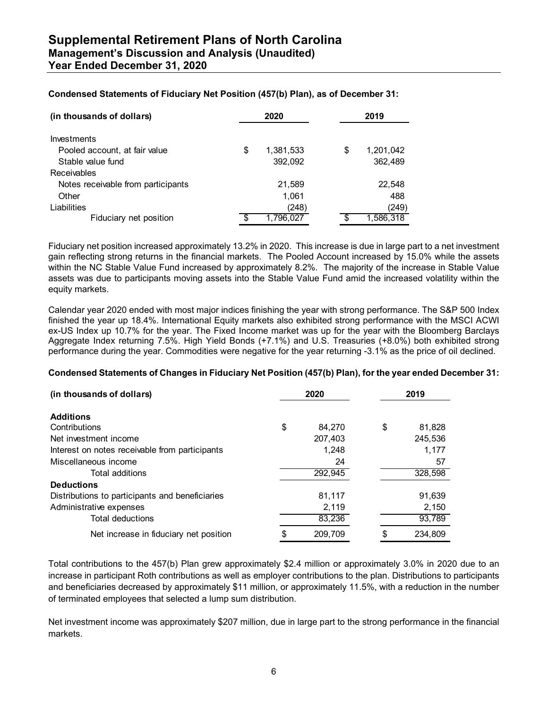| (in thousands of dollars)          | 2020            |    | 2019      |
|------------------------------------|-----------------|----|-----------|
| Investments                        |                 |    |           |
| Pooled account, at fair value      | \$<br>1,381,533 | S  | 1,201,042 |
| Stable value fund                  | 392,092         |    | 362,489   |
| Receivables                        |                 |    |           |
| Notes receivable from participants | 21,589          |    | 22,548    |
| Other                              | 1,061           |    | 488       |
| Liabilities                        | (248)           |    | (249)     |
| Fiduciary net position             | \$<br>1,796,027 | \$ | 1,586,318 |

## **Condensed Statements of Fiduciary Net Position (457(b) Plan), as of December 31:**

Fiduciary net position increased approximately 13.2% in 2020. This increase is due in large part to a net investment gain reflecting strong returns in the financial markets. The Pooled Account increased by 15.0% while the assets within the NC Stable Value Fund increased by approximately 8.2%. The majority of the increase in Stable Value assets was due to participants moving assets into the Stable Value Fund amid the increased volatility within the equity markets.

Calendar year 2020 ended with most major indices finishing the year with strong performance. The S&P 500 Index finished the year up 18.4%. International Equity markets also exhibited strong performance with the MSCI ACWI ex-US Index up 10.7% for the year. The Fixed Income market was up for the year with the Bloomberg Barclays Aggregate Index returning 7.5%. High Yield Bonds (+7.1%) and U.S. Treasuries (+8.0%) both exhibited strong performance during the year. Commodities were negative for the year returning -3.1% as the price of oil declined.

#### **Condensed Statements of Changes in Fiduciary Net Position (457(b) Plan), for the year ended December 31:**

| (in thousands of dollars)                       | 2020 |         |    |         | 2019 |  |
|-------------------------------------------------|------|---------|----|---------|------|--|
| <b>Additions</b>                                |      |         |    |         |      |  |
| Contributions                                   | \$   | 84,270  | \$ | 81,828  |      |  |
| Net investment income                           |      | 207,403 |    | 245.536 |      |  |
| Interest on notes receivable from participants  |      | 1.248   |    | 1.177   |      |  |
| Miscellaneous income                            |      | 24      |    | 57      |      |  |
| Total additions                                 |      | 292,945 |    | 328,598 |      |  |
| <b>Deductions</b>                               |      |         |    |         |      |  |
| Distributions to participants and beneficiaries |      | 81,117  |    | 91,639  |      |  |
| Administrative expenses                         |      | 2,119   |    | 2,150   |      |  |
| <b>Total deductions</b>                         |      | 83,236  |    | 93,789  |      |  |
| Net increase in fiduciary net position          |      | 209,709 | S  | 234.809 |      |  |

Total contributions to the 457(b) Plan grew approximately \$2.4 million or approximately 3.0% in 2020 due to an increase in participant Roth contributions as well as employer contributions to the plan. Distributions to participants and beneficiaries decreased by approximately \$11 million, or approximately 11.5%, with a reduction in the number of terminated employees that selected a lump sum distribution.

Net investment income was approximately \$207 million, due in large part to the strong performance in the financial markets.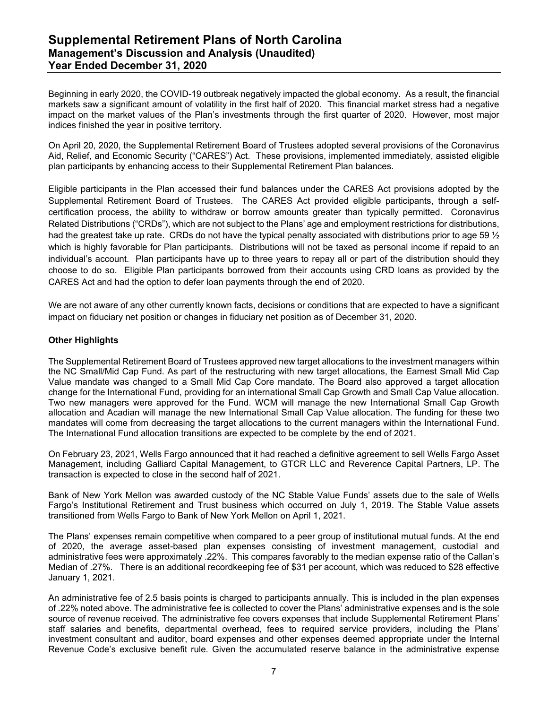# **Supplemental Retirement Plans of North Carolina Management's Discussion and Analysis (Unaudited) Year Ended December 31, 2020**

Beginning in early 2020, the COVID-19 outbreak negatively impacted the global economy. As a result, the financial markets saw a significant amount of volatility in the first half of 2020. This financial market stress had a negative impact on the market values of the Plan's investments through the first quarter of 2020. However, most major indices finished the year in positive territory.

On April 20, 2020, the Supplemental Retirement Board of Trustees adopted several provisions of the Coronavirus Aid, Relief, and Economic Security ("CARES") Act. These provisions, implemented immediately, assisted eligible plan participants by enhancing access to their Supplemental Retirement Plan balances.

Eligible participants in the Plan accessed their fund balances under the CARES Act provisions adopted by the Supplemental Retirement Board of Trustees. The CARES Act provided eligible participants, through a selfcertification process, the ability to withdraw or borrow amounts greater than typically permitted. Coronavirus Related Distributions ("CRDs"), which are not subject to the Plans' age and employment restrictions for distributions, had the greatest take up rate. CRDs do not have the typical penalty associated with distributions prior to age 59  $\frac{1}{2}$ which is highly favorable for Plan participants. Distributions will not be taxed as personal income if repaid to an individual's account. Plan participants have up to three years to repay all or part of the distribution should they choose to do so. Eligible Plan participants borrowed from their accounts using CRD loans as provided by the CARES Act and had the option to defer loan payments through the end of 2020.

We are not aware of any other currently known facts, decisions or conditions that are expected to have a significant impact on fiduciary net position or changes in fiduciary net position as of December 31, 2020.

## **Other Highlights**

The Supplemental Retirement Board of Trustees approved new target allocations to the investment managers within the NC Small/Mid Cap Fund. As part of the restructuring with new target allocations, the Earnest Small Mid Cap Value mandate was changed to a Small Mid Cap Core mandate. The Board also approved a target allocation change for the International Fund, providing for an international Small Cap Growth and Small Cap Value allocation. Two new managers were approved for the Fund. WCM will manage the new International Small Cap Growth allocation and Acadian will manage the new International Small Cap Value allocation. The funding for these two mandates will come from decreasing the target allocations to the current managers within the International Fund. The International Fund allocation transitions are expected to be complete by the end of 2021.

On February 23, 2021, Wells Fargo announced that it had reached a definitive agreement to sell Wells Fargo Asset Management, including Galliard Capital Management, to GTCR LLC and Reverence Capital Partners, LP. The transaction is expected to close in the second half of 2021.

Bank of New York Mellon was awarded custody of the NC Stable Value Funds' assets due to the sale of Wells Fargo's Institutional Retirement and Trust business which occurred on July 1, 2019. The Stable Value assets transitioned from Wells Fargo to Bank of New York Mellon on April 1, 2021.

The Plans' expenses remain competitive when compared to a peer group of institutional mutual funds. At the end of 2020, the average asset-based plan expenses consisting of investment management, custodial and administrative fees were approximately .22%. This compares favorably to the median expense ratio of the Callan's Median of .27%. There is an additional recordkeeping fee of \$31 per account, which was reduced to \$28 effective January 1, 2021.

An administrative fee of 2.5 basis points is charged to participants annually. This is included in the plan expenses of .22% noted above. The administrative fee is collected to cover the Plans' administrative expenses and is the sole source of revenue received. The administrative fee covers expenses that include Supplemental Retirement Plans' staff salaries and benefits, departmental overhead, fees to required service providers, including the Plans' investment consultant and auditor, board expenses and other expenses deemed appropriate under the Internal Revenue Code's exclusive benefit rule. Given the accumulated reserve balance in the administrative expense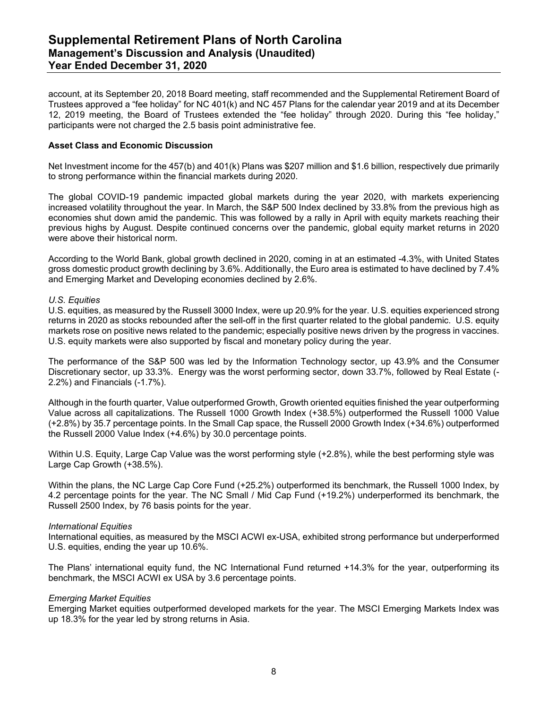account, at its September 20, 2018 Board meeting, staff recommended and the Supplemental Retirement Board of Trustees approved a "fee holiday" for NC 401(k) and NC 457 Plans for the calendar year 2019 and at its December 12, 2019 meeting, the Board of Trustees extended the "fee holiday" through 2020. During this "fee holiday," participants were not charged the 2.5 basis point administrative fee.

#### **Asset Class and Economic Discussion**

Net Investment income for the 457(b) and 401(k) Plans was \$207 million and \$1.6 billion, respectively due primarily to strong performance within the financial markets during 2020.

The global COVID-19 pandemic impacted global markets during the year 2020, with markets experiencing increased volatility throughout the year. In March, the S&P 500 Index declined by 33.8% from the previous high as economies shut down amid the pandemic. This was followed by a rally in April with equity markets reaching their previous highs by August. Despite continued concerns over the pandemic, global equity market returns in 2020 were above their historical norm.

According to the World Bank, global growth declined in 2020, coming in at an estimated -4.3%, with United States gross domestic product growth declining by 3.6%. Additionally, the Euro area is estimated to have declined by 7.4% and Emerging Market and Developing economies declined by 2.6%.

#### *U.S. Equities*

U.S. equities, as measured by the Russell 3000 Index, were up 20.9% for the year. U.S. equities experienced strong returns in 2020 as stocks rebounded after the sell-off in the first quarter related to the global pandemic. U.S. equity markets rose on positive news related to the pandemic; especially positive news driven by the progress in vaccines. U.S. equity markets were also supported by fiscal and monetary policy during the year.

The performance of the S&P 500 was led by the Information Technology sector, up 43.9% and the Consumer Discretionary sector, up 33.3%. Energy was the worst performing sector, down 33.7%, followed by Real Estate (- 2.2%) and Financials (-1.7%).

Although in the fourth quarter, Value outperformed Growth, Growth oriented equities finished the year outperforming Value across all capitalizations. The Russell 1000 Growth Index (+38.5%) outperformed the Russell 1000 Value (+2.8%) by 35.7 percentage points. In the Small Cap space, the Russell 2000 Growth Index (+34.6%) outperformed the Russell 2000 Value Index (+4.6%) by 30.0 percentage points.

Within U.S. Equity, Large Cap Value was the worst performing style (+2.8%), while the best performing style was Large Cap Growth (+38.5%).

Within the plans, the NC Large Cap Core Fund (+25.2%) outperformed its benchmark, the Russell 1000 Index, by 4.2 percentage points for the year. The NC Small / Mid Cap Fund (+19.2%) underperformed its benchmark, the Russell 2500 Index, by 76 basis points for the year.

#### *International Equities*

International equities, as measured by the MSCI ACWI ex-USA, exhibited strong performance but underperformed U.S. equities, ending the year up 10.6%.

The Plans' international equity fund, the NC International Fund returned +14.3% for the year, outperforming its benchmark, the MSCI ACWI ex USA by 3.6 percentage points.

#### *Emerging Market Equities*

Emerging Market equities outperformed developed markets for the year. The MSCI Emerging Markets Index was up 18.3% for the year led by strong returns in Asia.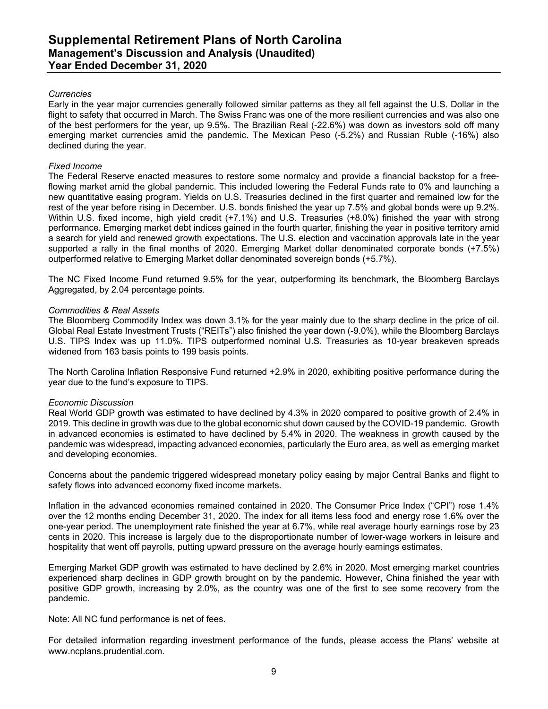# **Supplemental Retirement Plans of North Carolina Management's Discussion and Analysis (Unaudited) Year Ended December 31, 2020**

#### *Currencies*

Early in the year major currencies generally followed similar patterns as they all fell against the U.S. Dollar in the flight to safety that occurred in March. The Swiss Franc was one of the more resilient currencies and was also one of the best performers for the year, up 9.5%. The Brazilian Real (-22.6%) was down as investors sold off many emerging market currencies amid the pandemic. The Mexican Peso (-5.2%) and Russian Ruble (-16%) also declined during the year.

#### *Fixed Income*

The Federal Reserve enacted measures to restore some normalcy and provide a financial backstop for a freeflowing market amid the global pandemic. This included lowering the Federal Funds rate to 0% and launching a new quantitative easing program. Yields on U.S. Treasuries declined in the first quarter and remained low for the rest of the year before rising in December. U.S. bonds finished the year up 7.5% and global bonds were up 9.2%. Within U.S. fixed income, high yield credit (+7.1%) and U.S. Treasuries (+8.0%) finished the year with strong performance. Emerging market debt indices gained in the fourth quarter, finishing the year in positive territory amid a search for yield and renewed growth expectations. The U.S. election and vaccination approvals late in the year supported a rally in the final months of 2020. Emerging Market dollar denominated corporate bonds (+7.5%) outperformed relative to Emerging Market dollar denominated sovereign bonds (+5.7%).

The NC Fixed Income Fund returned 9.5% for the year, outperforming its benchmark, the Bloomberg Barclays Aggregated, by 2.04 percentage points.

#### *Commodities & Real Assets*

The Bloomberg Commodity Index was down 3.1% for the year mainly due to the sharp decline in the price of oil. Global Real Estate Investment Trusts ("REITs") also finished the year down (-9.0%), while the Bloomberg Barclays U.S. TIPS Index was up 11.0%. TIPS outperformed nominal U.S. Treasuries as 10-year breakeven spreads widened from 163 basis points to 199 basis points.

The North Carolina Inflation Responsive Fund returned +2.9% in 2020, exhibiting positive performance during the year due to the fund's exposure to TIPS.

#### *Economic Discussion*

Real World GDP growth was estimated to have declined by 4.3% in 2020 compared to positive growth of 2.4% in 2019. This decline in growth was due to the global economic shut down caused by the COVID-19 pandemic. Growth in advanced economies is estimated to have declined by 5.4% in 2020. The weakness in growth caused by the pandemic was widespread, impacting advanced economies, particularly the Euro area, as well as emerging market and developing economies.

Concerns about the pandemic triggered widespread monetary policy easing by major Central Banks and flight to safety flows into advanced economy fixed income markets.

Inflation in the advanced economies remained contained in 2020. The Consumer Price Index ("CPI") rose 1.4% over the 12 months ending December 31, 2020. The index for all items less food and energy rose 1.6% over the one-year period. The unemployment rate finished the year at 6.7%, while real average hourly earnings rose by 23 cents in 2020. This increase is largely due to the disproportionate number of lower-wage workers in leisure and hospitality that went off payrolls, putting upward pressure on the average hourly earnings estimates.

Emerging Market GDP growth was estimated to have declined by 2.6% in 2020. Most emerging market countries experienced sharp declines in GDP growth brought on by the pandemic. However, China finished the year with positive GDP growth, increasing by 2.0%, as the country was one of the first to see some recovery from the pandemic.

Note: All NC fund performance is net of fees.

For detailed information regarding investment performance of the funds, please access the Plans' website at www.ncplans.prudential.com.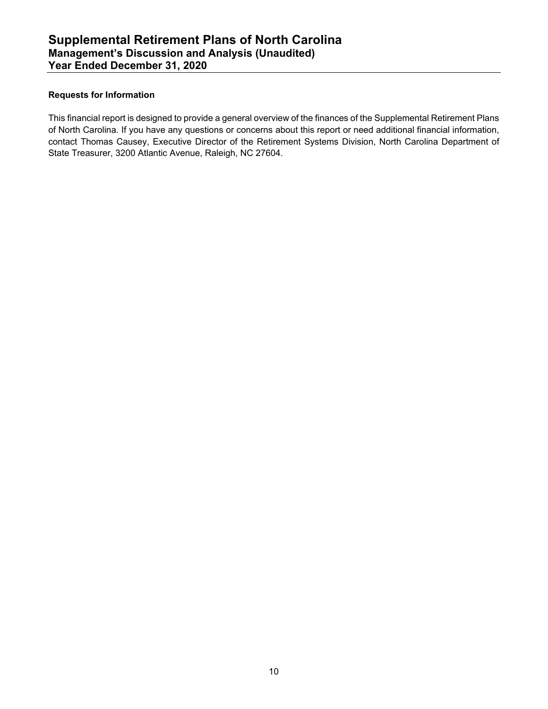## **Requests for Information**

This financial report is designed to provide a general overview of the finances of the Supplemental Retirement Plans of North Carolina. If you have any questions or concerns about this report or need additional financial information, contact Thomas Causey, Executive Director of the Retirement Systems Division, North Carolina Department of State Treasurer, 3200 Atlantic Avenue, Raleigh, NC 27604.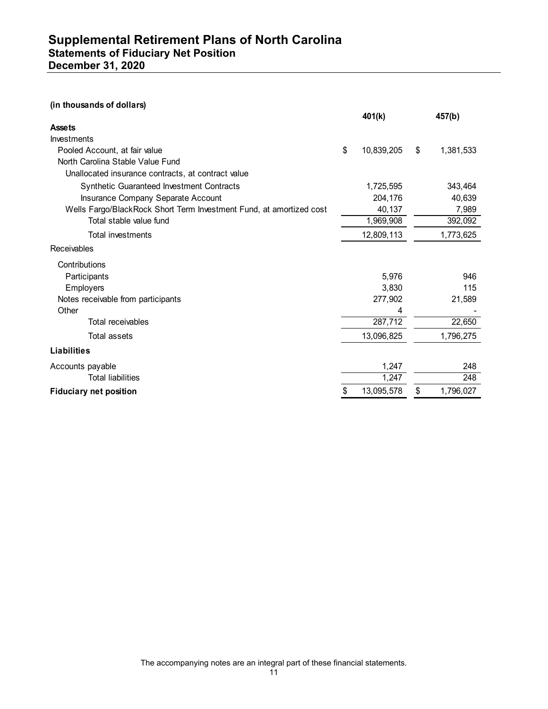# **(in thousands of dollars)**

|                                                                     | 401(k)           | 457(b)          |
|---------------------------------------------------------------------|------------------|-----------------|
| <b>Assets</b>                                                       |                  |                 |
| Investments                                                         |                  |                 |
| Pooled Account, at fair value                                       | \$<br>10,839,205 | \$<br>1,381,533 |
| North Carolina Stable Value Fund                                    |                  |                 |
| Unallocated insurance contracts, at contract value                  |                  |                 |
| <b>Synthetic Guaranteed Investment Contracts</b>                    | 1,725,595        | 343,464         |
| Insurance Company Separate Account                                  | 204,176          | 40,639          |
| Wells Fargo/BlackRock Short Term Investment Fund, at amortized cost | 40,137           | 7,989           |
| Total stable value fund                                             | 1,969,908        | 392,092         |
| <b>Total investments</b>                                            | 12,809,113       | 1,773,625       |
| Receivables                                                         |                  |                 |
| Contributions                                                       |                  |                 |
| Participants                                                        | 5,976            | 946             |
| <b>Employers</b>                                                    | 3,830            | 115             |
| Notes receivable from participants                                  | 277,902          | 21,589          |
| Other                                                               | 4                |                 |
| <b>Total receivables</b>                                            | 287,712          | 22,650          |
| Total assets                                                        | 13,096,825       | 1,796,275       |
| <b>Liabilities</b>                                                  |                  |                 |
| Accounts payable                                                    | 1,247            | 248             |
| <b>Total liabilities</b>                                            | 1,247            | 248             |
| <b>Fiduciary net position</b>                                       | \$<br>13,095,578 | \$<br>1,796,027 |

The accompanying notes are an integral part of these financial statements.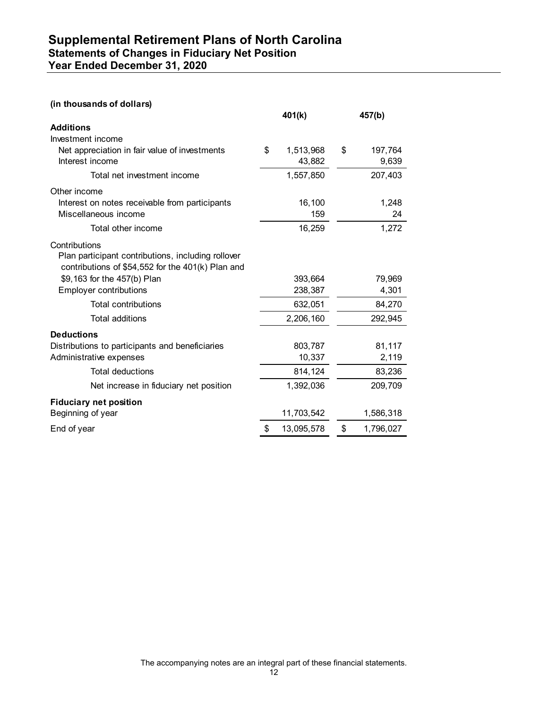# **(in thousands of dollars)**

|                                                                                                         | 401(k)           | 457(b)          |
|---------------------------------------------------------------------------------------------------------|------------------|-----------------|
| <b>Additions</b>                                                                                        |                  |                 |
| Investment income                                                                                       |                  |                 |
| Net appreciation in fair value of investments                                                           | \$<br>1,513,968  | \$<br>197,764   |
| Interest income                                                                                         |                  | 43,882<br>9,639 |
| Total net investment income                                                                             | 1,557,850        | 207,403         |
| Other income                                                                                            |                  |                 |
| Interest on notes receivable from participants                                                          |                  | 16,100<br>1,248 |
| Miscellaneous income                                                                                    |                  | 159<br>24       |
| Total other income                                                                                      |                  | 16,259<br>1,272 |
| Contributions                                                                                           |                  |                 |
| Plan participant contributions, including rollover<br>contributions of \$54,552 for the 401(k) Plan and |                  |                 |
| \$9,163 for the 457(b) Plan                                                                             | 393,664          | 79,969          |
| <b>Employer contributions</b>                                                                           | 238,387          | 4,301           |
| <b>Total contributions</b>                                                                              | 632,051          | 84,270          |
| <b>Total additions</b>                                                                                  | 2,206,160        | 292,945         |
| <b>Deductions</b>                                                                                       |                  |                 |
| Distributions to participants and beneficiaries                                                         | 803,787          | 81,117          |
| Administrative expenses                                                                                 |                  | 10,337<br>2,119 |
| <b>Total deductions</b>                                                                                 | 814,124          | 83,236          |
| Net increase in fiduciary net position                                                                  | 1,392,036        | 209,709         |
| <b>Fiduciary net position</b>                                                                           |                  |                 |
| Beginning of year                                                                                       | 11,703,542       | 1,586,318       |
| End of year                                                                                             | \$<br>13,095,578 | \$<br>1,796,027 |

The accompanying notes are an integral part of these financial statements.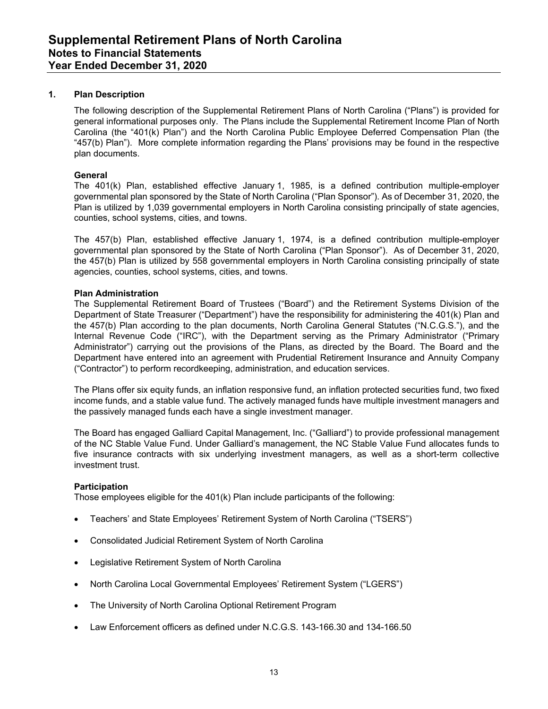## **1. Plan Description**

The following description of the Supplemental Retirement Plans of North Carolina ("Plans") is provided for general informational purposes only. The Plans include the Supplemental Retirement Income Plan of North Carolina (the "401(k) Plan") and the North Carolina Public Employee Deferred Compensation Plan (the "457(b) Plan"). More complete information regarding the Plans' provisions may be found in the respective plan documents.

## **General**

The 401(k) Plan, established effective January 1, 1985, is a defined contribution multiple-employer governmental plan sponsored by the State of North Carolina ("Plan Sponsor"). As of December 31, 2020, the Plan is utilized by 1,039 governmental employers in North Carolina consisting principally of state agencies, counties, school systems, cities, and towns.

The 457(b) Plan, established effective January 1, 1974, is a defined contribution multiple-employer governmental plan sponsored by the State of North Carolina ("Plan Sponsor"). As of December 31, 2020, the 457(b) Plan is utilized by 558 governmental employers in North Carolina consisting principally of state agencies, counties, school systems, cities, and towns.

## **Plan Administration**

The Supplemental Retirement Board of Trustees ("Board") and the Retirement Systems Division of the Department of State Treasurer ("Department") have the responsibility for administering the 401(k) Plan and the 457(b) Plan according to the plan documents, North Carolina General Statutes ("N.C.G.S."), and the Internal Revenue Code ("IRC"), with the Department serving as the Primary Administrator ("Primary Administrator") carrying out the provisions of the Plans, as directed by the Board. The Board and the Department have entered into an agreement with Prudential Retirement Insurance and Annuity Company ("Contractor") to perform recordkeeping, administration, and education services.

The Plans offer six equity funds, an inflation responsive fund, an inflation protected securities fund, two fixed income funds, and a stable value fund. The actively managed funds have multiple investment managers and the passively managed funds each have a single investment manager.

The Board has engaged Galliard Capital Management, Inc. ("Galliard") to provide professional management of the NC Stable Value Fund. Under Galliard's management, the NC Stable Value Fund allocates funds to five insurance contracts with six underlying investment managers, as well as a short-term collective investment trust.

#### **Participation**

Those employees eligible for the 401(k) Plan include participants of the following:

- Teachers' and State Employees' Retirement System of North Carolina ("TSERS")
- Consolidated Judicial Retirement System of North Carolina
- Legislative Retirement System of North Carolina
- North Carolina Local Governmental Employees' Retirement System ("LGERS")
- The University of North Carolina Optional Retirement Program
- Law Enforcement officers as defined under N.C.G.S. 143-166.30 and 134-166.50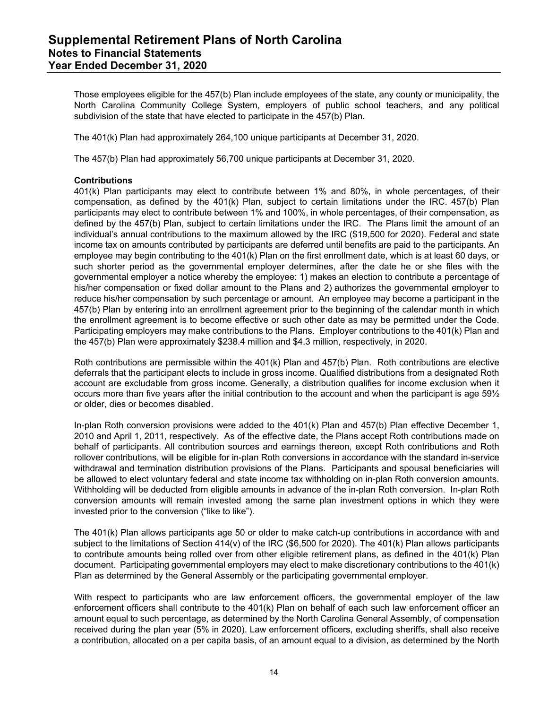Those employees eligible for the 457(b) Plan include employees of the state, any county or municipality, the North Carolina Community College System, employers of public school teachers, and any political subdivision of the state that have elected to participate in the 457(b) Plan.

The 401(k) Plan had approximately 264,100 unique participants at December 31, 2020.

The 457(b) Plan had approximately 56,700 unique participants at December 31, 2020.

#### **Contributions**

401(k) Plan participants may elect to contribute between 1% and 80%, in whole percentages, of their compensation, as defined by the 401(k) Plan, subject to certain limitations under the IRC. 457(b) Plan participants may elect to contribute between 1% and 100%, in whole percentages, of their compensation, as defined by the 457(b) Plan, subject to certain limitations under the IRC. The Plans limit the amount of an individual's annual contributions to the maximum allowed by the IRC (\$19,500 for 2020). Federal and state income tax on amounts contributed by participants are deferred until benefits are paid to the participants. An employee may begin contributing to the 401(k) Plan on the first enrollment date, which is at least 60 days, or such shorter period as the governmental employer determines, after the date he or she files with the governmental employer a notice whereby the employee: 1) makes an election to contribute a percentage of his/her compensation or fixed dollar amount to the Plans and 2) authorizes the governmental employer to reduce his/her compensation by such percentage or amount. An employee may become a participant in the 457(b) Plan by entering into an enrollment agreement prior to the beginning of the calendar month in which the enrollment agreement is to become effective or such other date as may be permitted under the Code. Participating employers may make contributions to the Plans. Employer contributions to the 401(k) Plan and the 457(b) Plan were approximately \$238.4 million and \$4.3 million, respectively, in 2020.

Roth contributions are permissible within the  $401(k)$  Plan and  $457(b)$  Plan. Roth contributions are elective deferrals that the participant elects to include in gross income. Qualified distributions from a designated Roth account are excludable from gross income. Generally, a distribution qualifies for income exclusion when it occurs more than five years after the initial contribution to the account and when the participant is age 59½ or older, dies or becomes disabled.

In-plan Roth conversion provisions were added to the 401(k) Plan and 457(b) Plan effective December 1, 2010 and April 1, 2011, respectively. As of the effective date, the Plans accept Roth contributions made on behalf of participants. All contribution sources and earnings thereon, except Roth contributions and Roth rollover contributions, will be eligible for in-plan Roth conversions in accordance with the standard in-service withdrawal and termination distribution provisions of the Plans. Participants and spousal beneficiaries will be allowed to elect voluntary federal and state income tax withholding on in-plan Roth conversion amounts. Withholding will be deducted from eligible amounts in advance of the in-plan Roth conversion. In-plan Roth conversion amounts will remain invested among the same plan investment options in which they were invested prior to the conversion ("like to like").

The 401(k) Plan allows participants age 50 or older to make catch-up contributions in accordance with and subject to the limitations of Section 414(v) of the IRC (\$6,500 for 2020). The 401(k) Plan allows participants to contribute amounts being rolled over from other eligible retirement plans, as defined in the 401(k) Plan document. Participating governmental employers may elect to make discretionary contributions to the 401(k) Plan as determined by the General Assembly or the participating governmental employer.

With respect to participants who are law enforcement officers, the governmental employer of the law enforcement officers shall contribute to the 401(k) Plan on behalf of each such law enforcement officer an amount equal to such percentage, as determined by the North Carolina General Assembly, of compensation received during the plan year (5% in 2020). Law enforcement officers, excluding sheriffs, shall also receive a contribution, allocated on a per capita basis, of an amount equal to a division, as determined by the North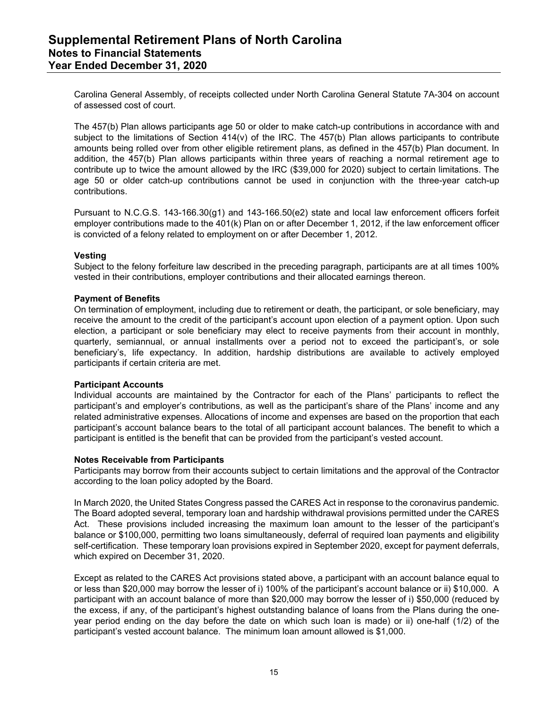Carolina General Assembly, of receipts collected under North Carolina General Statute 7A-304 on account of assessed cost of court.

The 457(b) Plan allows participants age 50 or older to make catch-up contributions in accordance with and subject to the limitations of Section 414(v) of the IRC. The 457(b) Plan allows participants to contribute amounts being rolled over from other eligible retirement plans, as defined in the 457(b) Plan document. In addition, the 457(b) Plan allows participants within three years of reaching a normal retirement age to contribute up to twice the amount allowed by the IRC (\$39,000 for 2020) subject to certain limitations. The age 50 or older catch-up contributions cannot be used in conjunction with the three-year catch-up contributions.

Pursuant to N.C.G.S. 143-166.30(g1) and 143-166.50(e2) state and local law enforcement officers forfeit employer contributions made to the 401(k) Plan on or after December 1, 2012, if the law enforcement officer is convicted of a felony related to employment on or after December 1, 2012.

#### **Vesting**

Subject to the felony forfeiture law described in the preceding paragraph, participants are at all times 100% vested in their contributions, employer contributions and their allocated earnings thereon.

## **Payment of Benefits**

On termination of employment, including due to retirement or death, the participant, or sole beneficiary, may receive the amount to the credit of the participant's account upon election of a payment option. Upon such election, a participant or sole beneficiary may elect to receive payments from their account in monthly, quarterly, semiannual, or annual installments over a period not to exceed the participant's, or sole beneficiary's, life expectancy. In addition, hardship distributions are available to actively employed participants if certain criteria are met.

#### **Participant Accounts**

Individual accounts are maintained by the Contractor for each of the Plans' participants to reflect the participant's and employer's contributions, as well as the participant's share of the Plans' income and any related administrative expenses. Allocations of income and expenses are based on the proportion that each participant's account balance bears to the total of all participant account balances. The benefit to which a participant is entitled is the benefit that can be provided from the participant's vested account.

#### **Notes Receivable from Participants**

Participants may borrow from their accounts subject to certain limitations and the approval of the Contractor according to the loan policy adopted by the Board.

In March 2020, the United States Congress passed the CARES Act in response to the coronavirus pandemic. The Board adopted several, temporary loan and hardship withdrawal provisions permitted under the CARES Act. These provisions included increasing the maximum loan amount to the lesser of the participant's balance or \$100,000, permitting two loans simultaneously, deferral of required loan payments and eligibility self-certification. These temporary loan provisions expired in September 2020, except for payment deferrals, which expired on December 31, 2020.

Except as related to the CARES Act provisions stated above, a participant with an account balance equal to or less than \$20,000 may borrow the lesser of i) 100% of the participant's account balance or ii) \$10,000. A participant with an account balance of more than \$20,000 may borrow the lesser of i) \$50,000 (reduced by the excess, if any, of the participant's highest outstanding balance of loans from the Plans during the oneyear period ending on the day before the date on which such loan is made) or ii) one-half (1/2) of the participant's vested account balance. The minimum loan amount allowed is \$1,000.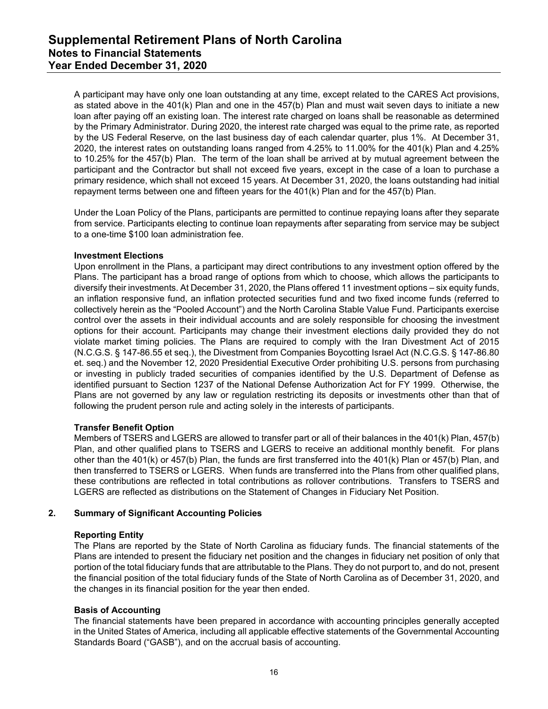A participant may have only one loan outstanding at any time, except related to the CARES Act provisions, as stated above in the 401(k) Plan and one in the 457(b) Plan and must wait seven days to initiate a new loan after paying off an existing loan. The interest rate charged on loans shall be reasonable as determined by the Primary Administrator. During 2020, the interest rate charged was equal to the prime rate, as reported by the US Federal Reserve*,* on the last business day of each calendar quarter, plus 1%. At December 31, 2020, the interest rates on outstanding loans ranged from 4.25% to 11.00% for the 401(k) Plan and 4.25% to 10.25% for the 457(b) Plan. The term of the loan shall be arrived at by mutual agreement between the participant and the Contractor but shall not exceed five years, except in the case of a loan to purchase a primary residence, which shall not exceed 15 years. At December 31, 2020, the loans outstanding had initial repayment terms between one and fifteen years for the 401(k) Plan and for the 457(b) Plan.

Under the Loan Policy of the Plans, participants are permitted to continue repaying loans after they separate from service. Participants electing to continue loan repayments after separating from service may be subject to a one-time \$100 loan administration fee.

#### **Investment Elections**

Upon enrollment in the Plans, a participant may direct contributions to any investment option offered by the Plans. The participant has a broad range of options from which to choose, which allows the participants to diversify their investments. At December 31, 2020, the Plans offered 11 investment options – six equity funds, an inflation responsive fund, an inflation protected securities fund and two fixed income funds (referred to collectively herein as the "Pooled Account") and the North Carolina Stable Value Fund. Participants exercise control over the assets in their individual accounts and are solely responsible for choosing the investment options for their account. Participants may change their investment elections daily provided they do not violate market timing policies. The Plans are required to comply with the Iran Divestment Act of 2015 (N.C.G.S. § 147-86.55 et seq.), the Divestment from Companies Boycotting Israel Act (N.C.G.S. § 147-86.80 et. seq.) and the November 12, 2020 Presidential Executive Order prohibiting U.S. persons from purchasing or investing in publicly traded securities of companies identified by the U.S. Department of Defense as identified pursuant to Section 1237 of the National Defense Authorization Act for FY 1999. Otherwise, the Plans are not governed by any law or regulation restricting its deposits or investments other than that of following the prudent person rule and acting solely in the interests of participants.

## **Transfer Benefit Option**

Members of TSERS and LGERS are allowed to transfer part or all of their balances in the 401(k) Plan, 457(b) Plan, and other qualified plans to TSERS and LGERS to receive an additional monthly benefit. For plans other than the 401(k) or 457(b) Plan, the funds are first transferred into the 401(k) Plan or 457(b) Plan, and then transferred to TSERS or LGERS. When funds are transferred into the Plans from other qualified plans, these contributions are reflected in total contributions as rollover contributions. Transfers to TSERS and LGERS are reflected as distributions on the Statement of Changes in Fiduciary Net Position.

## **2. Summary of Significant Accounting Policies**

#### **Reporting Entity**

The Plans are reported by the State of North Carolina as fiduciary funds. The financial statements of the Plans are intended to present the fiduciary net position and the changes in fiduciary net position of only that portion of the total fiduciary funds that are attributable to the Plans. They do not purport to, and do not, present the financial position of the total fiduciary funds of the State of North Carolina as of December 31, 2020, and the changes in its financial position for the year then ended.

#### **Basis of Accounting**

The financial statements have been prepared in accordance with accounting principles generally accepted in the United States of America, including all applicable effective statements of the Governmental Accounting Standards Board ("GASB"), and on the accrual basis of accounting.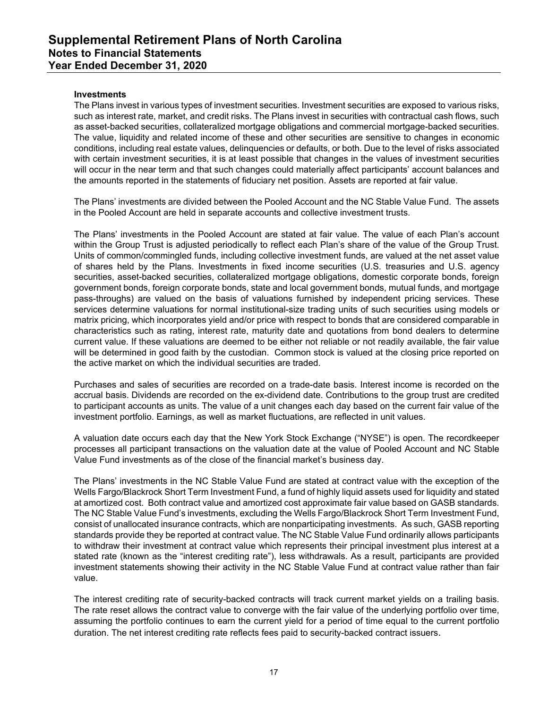#### **Investments**

The Plans invest in various types of investment securities. Investment securities are exposed to various risks, such as interest rate, market, and credit risks. The Plans invest in securities with contractual cash flows, such as asset-backed securities, collateralized mortgage obligations and commercial mortgage-backed securities. The value, liquidity and related income of these and other securities are sensitive to changes in economic conditions, including real estate values, delinquencies or defaults, or both. Due to the level of risks associated with certain investment securities, it is at least possible that changes in the values of investment securities will occur in the near term and that such changes could materially affect participants' account balances and the amounts reported in the statements of fiduciary net position. Assets are reported at fair value.

The Plans' investments are divided between the Pooled Account and the NC Stable Value Fund. The assets in the Pooled Account are held in separate accounts and collective investment trusts.

The Plans' investments in the Pooled Account are stated at fair value. The value of each Plan's account within the Group Trust is adjusted periodically to reflect each Plan's share of the value of the Group Trust. Units of common/commingled funds, including collective investment funds, are valued at the net asset value of shares held by the Plans. Investments in fixed income securities (U.S. treasuries and U.S. agency securities, asset-backed securities, collateralized mortgage obligations, domestic corporate bonds, foreign government bonds, foreign corporate bonds, state and local government bonds, mutual funds, and mortgage pass-throughs) are valued on the basis of valuations furnished by independent pricing services. These services determine valuations for normal institutional-size trading units of such securities using models or matrix pricing, which incorporates yield and/or price with respect to bonds that are considered comparable in characteristics such as rating, interest rate, maturity date and quotations from bond dealers to determine current value. If these valuations are deemed to be either not reliable or not readily available, the fair value will be determined in good faith by the custodian. Common stock is valued at the closing price reported on the active market on which the individual securities are traded.

Purchases and sales of securities are recorded on a trade-date basis. Interest income is recorded on the accrual basis. Dividends are recorded on the ex-dividend date. Contributions to the group trust are credited to participant accounts as units. The value of a unit changes each day based on the current fair value of the investment portfolio. Earnings, as well as market fluctuations, are reflected in unit values.

A valuation date occurs each day that the New York Stock Exchange ("NYSE") is open. The recordkeeper processes all participant transactions on the valuation date at the value of Pooled Account and NC Stable Value Fund investments as of the close of the financial market's business day.

The Plans' investments in the NC Stable Value Fund are stated at contract value with the exception of the Wells Fargo/Blackrock Short Term Investment Fund, a fund of highly liquid assets used for liquidity and stated at amortized cost. Both contract value and amortized cost approximate fair value based on GASB standards. The NC Stable Value Fund's investments, excluding the Wells Fargo/Blackrock Short Term Investment Fund, consist of unallocated insurance contracts, which are nonparticipating investments. As such, GASB reporting standards provide they be reported at contract value. The NC Stable Value Fund ordinarily allows participants to withdraw their investment at contract value which represents their principal investment plus interest at a stated rate (known as the "interest crediting rate"), less withdrawals. As a result, participants are provided investment statements showing their activity in the NC Stable Value Fund at contract value rather than fair value.

The interest crediting rate of security-backed contracts will track current market yields on a trailing basis. The rate reset allows the contract value to converge with the fair value of the underlying portfolio over time, assuming the portfolio continues to earn the current yield for a period of time equal to the current portfolio duration. The net interest crediting rate reflects fees paid to security-backed contract issuers.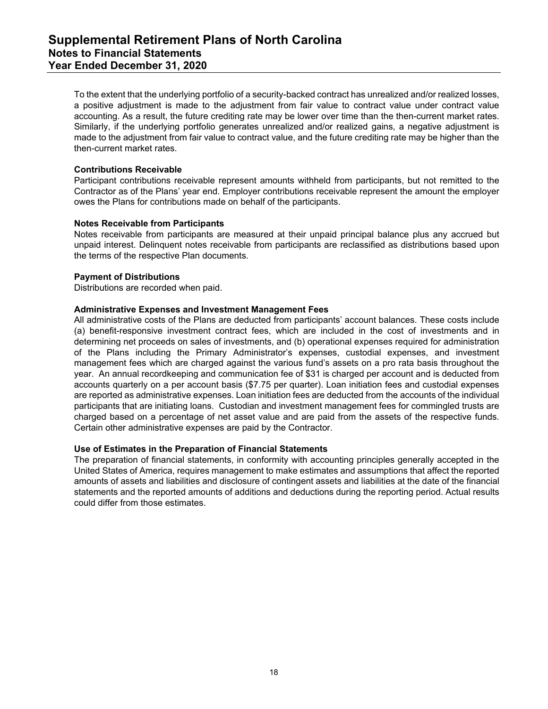To the extent that the underlying portfolio of a security-backed contract has unrealized and/or realized losses, a positive adjustment is made to the adjustment from fair value to contract value under contract value accounting. As a result, the future crediting rate may be lower over time than the then-current market rates. Similarly, if the underlying portfolio generates unrealized and/or realized gains, a negative adjustment is made to the adjustment from fair value to contract value, and the future crediting rate may be higher than the then-current market rates.

## **Contributions Receivable**

Participant contributions receivable represent amounts withheld from participants, but not remitted to the Contractor as of the Plans' year end. Employer contributions receivable represent the amount the employer owes the Plans for contributions made on behalf of the participants.

## **Notes Receivable from Participants**

Notes receivable from participants are measured at their unpaid principal balance plus any accrued but unpaid interest. Delinquent notes receivable from participants are reclassified as distributions based upon the terms of the respective Plan documents.

## **Payment of Distributions**

Distributions are recorded when paid.

## **Administrative Expenses and Investment Management Fees**

All administrative costs of the Plans are deducted from participants' account balances. These costs include (a) benefit-responsive investment contract fees, which are included in the cost of investments and in determining net proceeds on sales of investments, and (b) operational expenses required for administration of the Plans including the Primary Administrator's expenses, custodial expenses, and investment management fees which are charged against the various fund's assets on a pro rata basis throughout the year. An annual recordkeeping and communication fee of \$31 is charged per account and is deducted from accounts quarterly on a per account basis (\$7.75 per quarter). Loan initiation fees and custodial expenses are reported as administrative expenses. Loan initiation fees are deducted from the accounts of the individual participants that are initiating loans. Custodian and investment management fees for commingled trusts are charged based on a percentage of net asset value and are paid from the assets of the respective funds. Certain other administrative expenses are paid by the Contractor.

#### **Use of Estimates in the Preparation of Financial Statements**

The preparation of financial statements, in conformity with accounting principles generally accepted in the United States of America, requires management to make estimates and assumptions that affect the reported amounts of assets and liabilities and disclosure of contingent assets and liabilities at the date of the financial statements and the reported amounts of additions and deductions during the reporting period. Actual results could differ from those estimates.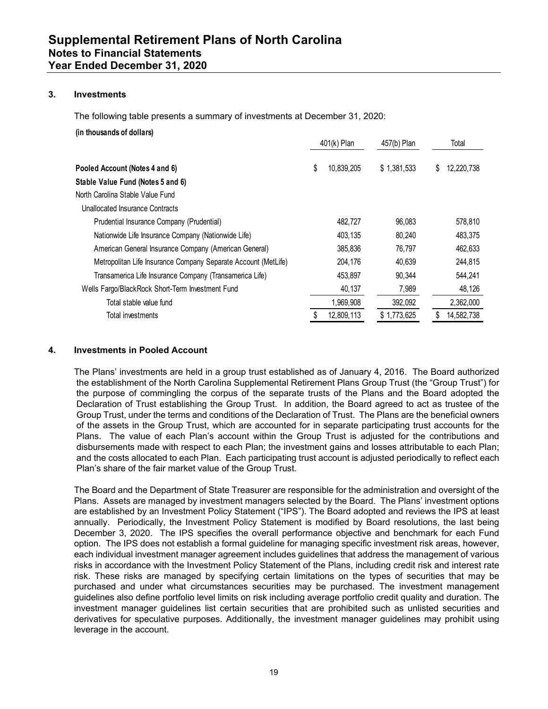## **3. Investments**

The following table presents a summary of investments at December 31, 2020:

| (in thousands of dollars)                                      |    |             |             |    |            |
|----------------------------------------------------------------|----|-------------|-------------|----|------------|
|                                                                |    | 401(k) Plan | 457(b) Plan |    | Total      |
| Pooled Account (Notes 4 and 6)                                 | \$ | 10,839,205  | \$1,381,533 | S  | 12,220,738 |
| Stable Value Fund (Notes 5 and 6)                              |    |             |             |    |            |
| North Carolina Stable Value Fund                               |    |             |             |    |            |
| Unallocated Insurance Contracts                                |    |             |             |    |            |
| Prudential Insurance Company (Prudential)                      |    | 482,727     | 96,083      |    | 578,810    |
| Nationwide Life Insurance Company (Nationwide Life)            |    | 403,135     | 80.240      |    | 483,375    |
| American General Insurance Company (American General)          |    | 385,836     | 76,797      |    | 462,633    |
| Metropolitan Life Insurance Company Separate Account (MetLife) |    | 204,176     | 40.639      |    | 244,815    |
| Transamerica Life Insurance Company (Transamerica Life)        |    | 453,897     | 90,344      |    | 544,241    |
| Wells Fargo/BlackRock Short-Term Investment Fund               |    | 40,137      | 7,989       |    | 48,126     |
| Total stable value fund                                        |    | 1,969,908   | 392,092     |    | 2,362,000  |
| Total investments                                              | S  | 12.809.113  | \$1.773.625 | \$ | 14.582.738 |

#### **4. Investments in Pooled Account**

The Plans' investments are held in a group trust established as of January 4, 2016. The Board authorized the establishment of the North Carolina Supplemental Retirement Plans Group Trust (the "Group Trust") for the purpose of commingling the corpus of the separate trusts of the Plans and the Board adopted the Declaration of Trust establishing the Group Trust. In addition, the Board agreed to act as trustee of the Group Trust, under the terms and conditions of the Declaration of Trust. The Plans are the beneficial owners of the assets in the Group Trust, which are accounted for in separate participating trust accounts for the Plans. The value of each Plan's account within the Group Trust is adjusted for the contributions and disbursements made with respect to each Plan; the investment gains and losses attributable to each Plan; and the costs allocated to each Plan. Each participating trust account is adjusted periodically to reflect each Plan's share of the fair market value of the Group Trust.

The Board and the Department of State Treasurer are responsible for the administration and oversight of the Plans. Assets are managed by investment managers selected by the Board. The Plans' investment options are established by an Investment Policy Statement ("IPS"). The Board adopted and reviews the IPS at least annually. Periodically, the Investment Policy Statement is modified by Board resolutions, the last being December 3, 2020. The IPS specifies the overall performance objective and benchmark for each Fund option. The IPS does not establish a formal guideline for managing specific investment risk areas, however, each individual investment manager agreement includes guidelines that address the management of various risks in accordance with the Investment Policy Statement of the Plans, including credit risk and interest rate risk. These risks are managed by specifying certain limitations on the types of securities that may be purchased and under what circumstances securities may be purchased. The investment management guidelines also define portfolio level limits on risk including average portfolio credit quality and duration. The investment manager guidelines list certain securities that are prohibited such as unlisted securities and derivatives for speculative purposes. Additionally, the investment manager guidelines may prohibit using leverage in the account.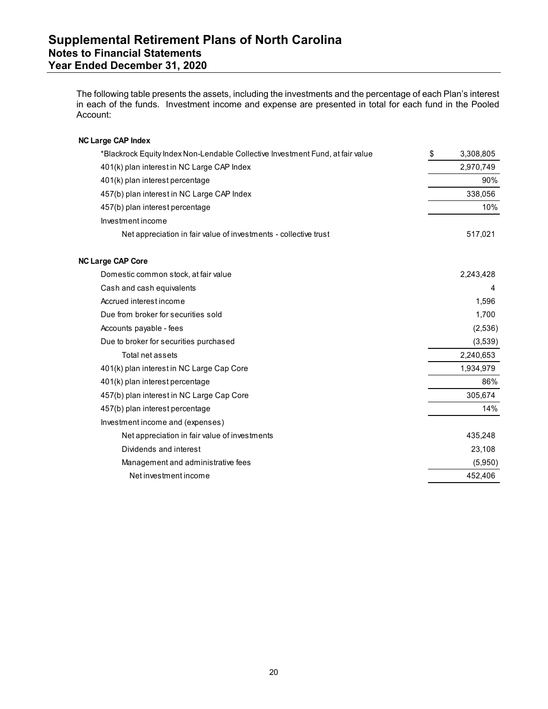The following table presents the assets, including the investments and the percentage of each Plan's interest in each of the funds. Investment income and expense are presented in total for each fund in the Pooled Account:

## **NC Large CAP Index**

| *Blackrock Equity Index Non-Lendable Collective Investment Fund, at fair value | \$<br>3,308,805 |
|--------------------------------------------------------------------------------|-----------------|
| 401(k) plan interest in NC Large CAP Index                                     | 2,970,749       |
| 401(k) plan interest percentage                                                | 90%             |
| 457(b) plan interest in NC Large CAP Index                                     | 338,056         |
| 457(b) plan interest percentage                                                | 10%             |
| Investment income                                                              |                 |
| Net appreciation in fair value of investments - collective trust               | 517,021         |
| <b>NC Large CAP Core</b>                                                       |                 |
| Domestic common stock, at fair value                                           | 2,243,428       |
| Cash and cash equivalents                                                      | 4               |
| Accrued interest income                                                        | 1,596           |
| Due from broker for securities sold                                            | 1,700           |
| Accounts payable - fees                                                        | (2,536)         |
| Due to broker for securities purchased                                         | (3,539)         |
| Total net assets                                                               | 2,240,653       |
| 401(k) plan interest in NC Large Cap Core                                      | 1,934,979       |
| 401(k) plan interest percentage                                                | 86%             |
| 457(b) plan interest in NC Large Cap Core                                      | 305,674         |
| 457(b) plan interest percentage                                                | 14%             |
| Investment income and (expenses)                                               |                 |
| Net appreciation in fair value of investments                                  | 435,248         |
| Dividends and interest                                                         | 23,108          |
| Management and administrative fees                                             | (5,950)         |
| Net investment income                                                          | 452,406         |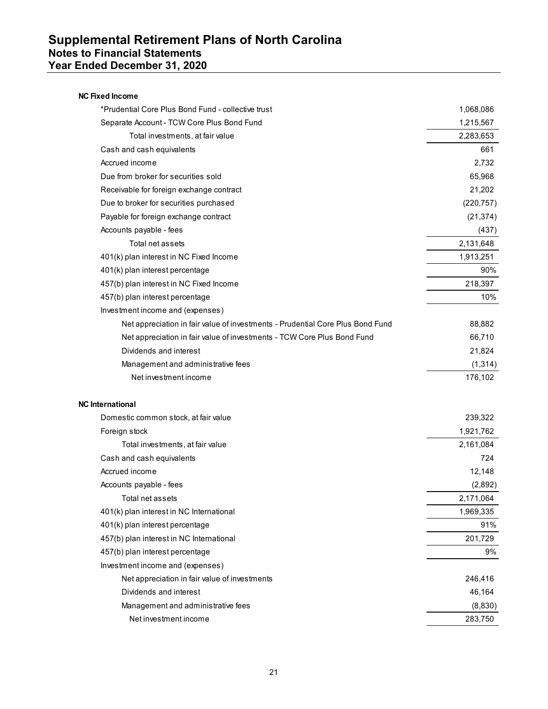## **NC Fixed Income**

| *Prudential Core Plus Bond Fund - collective trust                             | 1,068,086  |
|--------------------------------------------------------------------------------|------------|
| Separate Account - TCW Core Plus Bond Fund                                     | 1,215,567  |
| Total investments, at fair value                                               | 2,283,653  |
| Cash and cash equivalents                                                      | 661        |
| Accrued income                                                                 | 2,732      |
| Due from broker for securities sold                                            | 65,968     |
| Receivable for foreign exchange contract                                       | 21,202     |
| Due to broker for securities purchased                                         | (220, 757) |
| Payable for foreign exchange contract                                          | (21, 374)  |
| Accounts payable - fees                                                        | (437)      |
| Total net assets                                                               | 2,131,648  |
| 401(k) plan interest in NC Fixed Income                                        | 1,913,251  |
| 401(k) plan interest percentage                                                | 90%        |
| 457(b) plan interest in NC Fixed Income                                        | 218,397    |
| 457(b) plan interest percentage                                                | 10%        |
| Investment income and (expenses)                                               |            |
| Net appreciation in fair value of investments - Prudential Core Plus Bond Fund | 88,882     |
| Net appreciation in fair value of investments - TCW Core Plus Bond Fund        | 66,710     |
| Dividends and interest                                                         | 21,824     |
| Management and administrative fees                                             | (1, 314)   |
| Net investment income                                                          | 176,102    |
| <b>NC</b> International                                                        |            |
| Domestic common stock, at fair value                                           | 239,322    |
| Foreign stock                                                                  | 1,921,762  |
| Total investments, at fair value                                               | 2,161,084  |
| Cash and cash equivalents                                                      | 724        |
| Accrued income                                                                 | 12,148     |
| Accounts payable - fees                                                        | (2,892)    |
| Total net assets                                                               | 2,171,064  |
| 401(k) plan interest in NC International                                       | 1,969,335  |
| 401(k) plan interest percentage                                                | 91%        |
| 457(b) plan interest in NC International                                       | 201,729    |
| 457(b) plan interest percentage                                                | 9%         |
| Investment income and (expenses)                                               |            |
| Net appreciation in fair value of investments                                  | 246,416    |
| Dividends and interest                                                         | 46,164     |
| Management and administrative fees                                             | (8,830)    |
| Net investment income                                                          | 283,750    |
|                                                                                |            |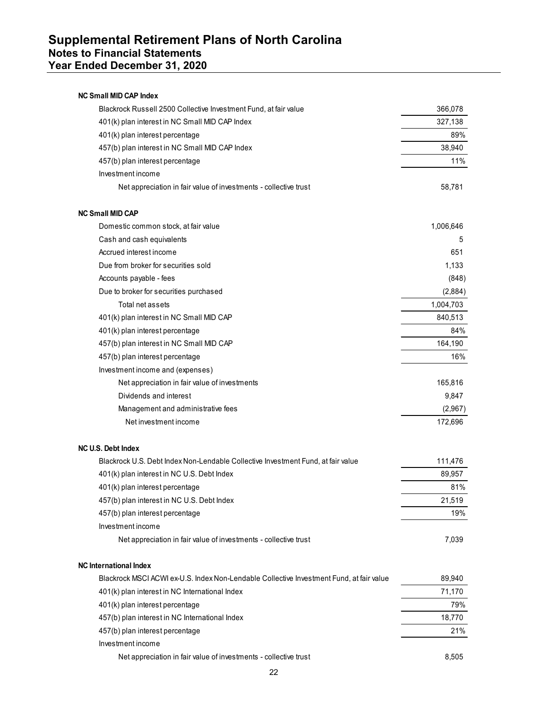# **Supplemental Retirement Plans of North Carolina Notes to Financial Statements Year Ended December 31, 2020**

| <b>NC Small MID CAP Index</b>                                                            |           |
|------------------------------------------------------------------------------------------|-----------|
| Blackrock Russell 2500 Collective Investment Fund, at fair value                         | 366,078   |
| 401(k) plan interest in NC Small MID CAP Index                                           | 327,138   |
| 401(k) plan interest percentage                                                          | 89%       |
| 457(b) plan interest in NC Small MID CAP Index                                           | 38,940    |
| 457(b) plan interest percentage                                                          | 11%       |
| Investment income                                                                        |           |
| Net appreciation in fair value of investments - collective trust                         | 58,781    |
| <b>NC Small MID CAP</b>                                                                  |           |
| Domestic common stock, at fair value                                                     | 1,006,646 |
| Cash and cash equivalents                                                                | 5         |
| Accrued interest income                                                                  | 651       |
| Due from broker for securities sold                                                      | 1,133     |
| Accounts payable - fees                                                                  | (848)     |
| Due to broker for securities purchased                                                   | (2,884)   |
| Total net assets                                                                         | 1,004,703 |
| 401(k) plan interest in NC Small MID CAP                                                 | 840,513   |
| 401(k) plan interest percentage                                                          | 84%       |
| 457(b) plan interest in NC Small MID CAP                                                 | 164,190   |
| 457(b) plan interest percentage                                                          | 16%       |
| Investment income and (expenses)                                                         |           |
| Net appreciation in fair value of investments                                            | 165,816   |
| Dividends and interest                                                                   | 9,847     |
| Management and administrative fees                                                       | (2,967)   |
| Net investment income                                                                    | 172,696   |
| NC U.S. Debt Index                                                                       |           |
| Blackrock U.S. Debt Index Non-Lendable Collective Investment Fund, at fair value         | 111,476   |
| 401(k) plan interest in NC U.S. Debt Index                                               | 89,957    |
| 401(k) plan interest percentage                                                          | 81%       |
| 457(b) plan interest in NC U.S. Debt Index                                               | 21,519    |
| 457(b) plan interest percentage                                                          | 19%       |
| Investment income                                                                        |           |
| Net appreciation in fair value of investments - collective trust                         | 7,039     |
| <b>NC International Index</b>                                                            |           |
| Blackrock MSCI ACWI ex-U.S. Index Non-Lendable Collective Investment Fund, at fair value | 89,940    |
| 401(k) plan interest in NC International Index                                           | 71,170    |
| 401(k) plan interest percentage                                                          | 79%       |
| 457(b) plan interest in NC International Index                                           | 18,770    |
| 457(b) plan interest percentage                                                          | 21%       |
| Investment income                                                                        |           |
| Net appreciation in fair value of investments - collective trust                         | 8,505     |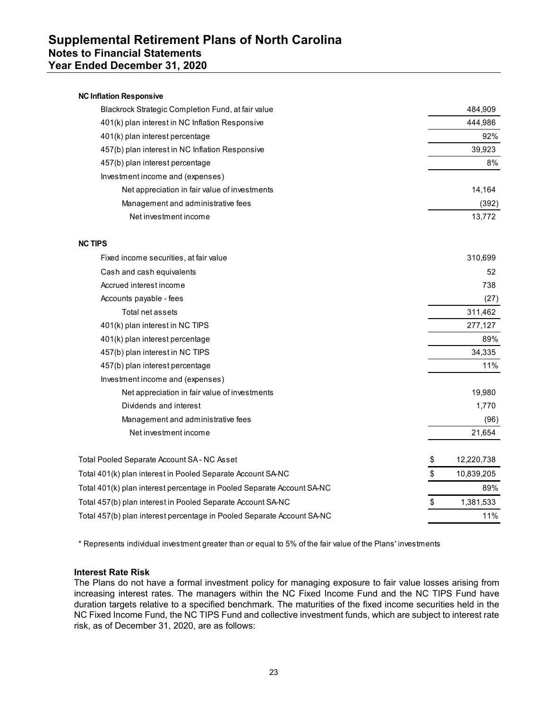#### **NC Inflation Responsive**

| 401(k) plan interest in NC Inflation Responsive<br>444,986<br>401(k) plan interest percentage<br>92%<br>457(b) plan interest in NC Inflation Responsive<br>39,923<br>457(b) plan interest percentage<br>8%<br>Investment income and (expenses)<br>Net appreciation in fair value of investments<br>14,164<br>Management and administrative fees<br>(392)<br>Net investment income<br>13,772<br>Fixed income securities, at fair value<br>310,699<br>Cash and cash equivalents<br>52<br>Accrued interest income<br>738<br>Accounts payable - fees<br>(27)<br>Total net assets<br>311,462<br>401(k) plan interest in NC TIPS<br>277,127<br>401(k) plan interest percentage<br>89%<br>457(b) plan interest in NC TIPS<br>34,335<br>11%<br>457(b) plan interest percentage<br>Investment income and (expenses)<br>19,980<br>Net appreciation in fair value of investments<br>Dividends and interest<br>1,770<br>Management and administrative fees<br>(96)<br>21,654<br>Net investment income<br>Total Pooled Separate Account SA - NC Asset<br>12,220,738<br>\$<br>\$<br>Total 401(k) plan interest in Pooled Separate Account SA-NC<br>10,839,205<br>89%<br>Total 401(k) plan interest percentage in Pooled Separate Account SA-NC<br>Total 457(b) plan interest in Pooled Separate Account SA-NC<br>1,381,533<br>\$<br>11%<br>Total 457(b) plan interest percentage in Pooled Separate Account SA-NC |                                                    |         |
|-----------------------------------------------------------------------------------------------------------------------------------------------------------------------------------------------------------------------------------------------------------------------------------------------------------------------------------------------------------------------------------------------------------------------------------------------------------------------------------------------------------------------------------------------------------------------------------------------------------------------------------------------------------------------------------------------------------------------------------------------------------------------------------------------------------------------------------------------------------------------------------------------------------------------------------------------------------------------------------------------------------------------------------------------------------------------------------------------------------------------------------------------------------------------------------------------------------------------------------------------------------------------------------------------------------------------------------------------------------------------------------------------------|----------------------------------------------------|---------|
|                                                                                                                                                                                                                                                                                                                                                                                                                                                                                                                                                                                                                                                                                                                                                                                                                                                                                                                                                                                                                                                                                                                                                                                                                                                                                                                                                                                                     | Blackrock Strategic Completion Fund, at fair value | 484,909 |
|                                                                                                                                                                                                                                                                                                                                                                                                                                                                                                                                                                                                                                                                                                                                                                                                                                                                                                                                                                                                                                                                                                                                                                                                                                                                                                                                                                                                     |                                                    |         |
|                                                                                                                                                                                                                                                                                                                                                                                                                                                                                                                                                                                                                                                                                                                                                                                                                                                                                                                                                                                                                                                                                                                                                                                                                                                                                                                                                                                                     |                                                    |         |
|                                                                                                                                                                                                                                                                                                                                                                                                                                                                                                                                                                                                                                                                                                                                                                                                                                                                                                                                                                                                                                                                                                                                                                                                                                                                                                                                                                                                     |                                                    |         |
|                                                                                                                                                                                                                                                                                                                                                                                                                                                                                                                                                                                                                                                                                                                                                                                                                                                                                                                                                                                                                                                                                                                                                                                                                                                                                                                                                                                                     |                                                    |         |
|                                                                                                                                                                                                                                                                                                                                                                                                                                                                                                                                                                                                                                                                                                                                                                                                                                                                                                                                                                                                                                                                                                                                                                                                                                                                                                                                                                                                     |                                                    |         |
|                                                                                                                                                                                                                                                                                                                                                                                                                                                                                                                                                                                                                                                                                                                                                                                                                                                                                                                                                                                                                                                                                                                                                                                                                                                                                                                                                                                                     |                                                    |         |
|                                                                                                                                                                                                                                                                                                                                                                                                                                                                                                                                                                                                                                                                                                                                                                                                                                                                                                                                                                                                                                                                                                                                                                                                                                                                                                                                                                                                     |                                                    |         |
|                                                                                                                                                                                                                                                                                                                                                                                                                                                                                                                                                                                                                                                                                                                                                                                                                                                                                                                                                                                                                                                                                                                                                                                                                                                                                                                                                                                                     |                                                    |         |
|                                                                                                                                                                                                                                                                                                                                                                                                                                                                                                                                                                                                                                                                                                                                                                                                                                                                                                                                                                                                                                                                                                                                                                                                                                                                                                                                                                                                     | <b>NC TIPS</b>                                     |         |
|                                                                                                                                                                                                                                                                                                                                                                                                                                                                                                                                                                                                                                                                                                                                                                                                                                                                                                                                                                                                                                                                                                                                                                                                                                                                                                                                                                                                     |                                                    |         |
|                                                                                                                                                                                                                                                                                                                                                                                                                                                                                                                                                                                                                                                                                                                                                                                                                                                                                                                                                                                                                                                                                                                                                                                                                                                                                                                                                                                                     |                                                    |         |
|                                                                                                                                                                                                                                                                                                                                                                                                                                                                                                                                                                                                                                                                                                                                                                                                                                                                                                                                                                                                                                                                                                                                                                                                                                                                                                                                                                                                     |                                                    |         |
|                                                                                                                                                                                                                                                                                                                                                                                                                                                                                                                                                                                                                                                                                                                                                                                                                                                                                                                                                                                                                                                                                                                                                                                                                                                                                                                                                                                                     |                                                    |         |
|                                                                                                                                                                                                                                                                                                                                                                                                                                                                                                                                                                                                                                                                                                                                                                                                                                                                                                                                                                                                                                                                                                                                                                                                                                                                                                                                                                                                     |                                                    |         |
|                                                                                                                                                                                                                                                                                                                                                                                                                                                                                                                                                                                                                                                                                                                                                                                                                                                                                                                                                                                                                                                                                                                                                                                                                                                                                                                                                                                                     |                                                    |         |
|                                                                                                                                                                                                                                                                                                                                                                                                                                                                                                                                                                                                                                                                                                                                                                                                                                                                                                                                                                                                                                                                                                                                                                                                                                                                                                                                                                                                     |                                                    |         |
|                                                                                                                                                                                                                                                                                                                                                                                                                                                                                                                                                                                                                                                                                                                                                                                                                                                                                                                                                                                                                                                                                                                                                                                                                                                                                                                                                                                                     |                                                    |         |
|                                                                                                                                                                                                                                                                                                                                                                                                                                                                                                                                                                                                                                                                                                                                                                                                                                                                                                                                                                                                                                                                                                                                                                                                                                                                                                                                                                                                     |                                                    |         |
|                                                                                                                                                                                                                                                                                                                                                                                                                                                                                                                                                                                                                                                                                                                                                                                                                                                                                                                                                                                                                                                                                                                                                                                                                                                                                                                                                                                                     |                                                    |         |
|                                                                                                                                                                                                                                                                                                                                                                                                                                                                                                                                                                                                                                                                                                                                                                                                                                                                                                                                                                                                                                                                                                                                                                                                                                                                                                                                                                                                     |                                                    |         |
|                                                                                                                                                                                                                                                                                                                                                                                                                                                                                                                                                                                                                                                                                                                                                                                                                                                                                                                                                                                                                                                                                                                                                                                                                                                                                                                                                                                                     |                                                    |         |
|                                                                                                                                                                                                                                                                                                                                                                                                                                                                                                                                                                                                                                                                                                                                                                                                                                                                                                                                                                                                                                                                                                                                                                                                                                                                                                                                                                                                     |                                                    |         |
|                                                                                                                                                                                                                                                                                                                                                                                                                                                                                                                                                                                                                                                                                                                                                                                                                                                                                                                                                                                                                                                                                                                                                                                                                                                                                                                                                                                                     |                                                    |         |
|                                                                                                                                                                                                                                                                                                                                                                                                                                                                                                                                                                                                                                                                                                                                                                                                                                                                                                                                                                                                                                                                                                                                                                                                                                                                                                                                                                                                     |                                                    |         |
|                                                                                                                                                                                                                                                                                                                                                                                                                                                                                                                                                                                                                                                                                                                                                                                                                                                                                                                                                                                                                                                                                                                                                                                                                                                                                                                                                                                                     |                                                    |         |
|                                                                                                                                                                                                                                                                                                                                                                                                                                                                                                                                                                                                                                                                                                                                                                                                                                                                                                                                                                                                                                                                                                                                                                                                                                                                                                                                                                                                     |                                                    |         |
|                                                                                                                                                                                                                                                                                                                                                                                                                                                                                                                                                                                                                                                                                                                                                                                                                                                                                                                                                                                                                                                                                                                                                                                                                                                                                                                                                                                                     |                                                    |         |
|                                                                                                                                                                                                                                                                                                                                                                                                                                                                                                                                                                                                                                                                                                                                                                                                                                                                                                                                                                                                                                                                                                                                                                                                                                                                                                                                                                                                     |                                                    |         |

\* Represents individual investment greater than or equal to 5% of the fair value of the Plans' investments

#### **Interest Rate Risk**

The Plans do not have a formal investment policy for managing exposure to fair value losses arising from increasing interest rates. The managers within the NC Fixed Income Fund and the NC TIPS Fund have duration targets relative to a specified benchmark. The maturities of the fixed income securities held in the NC Fixed Income Fund, the NC TIPS Fund and collective investment funds, which are subject to interest rate risk, as of December 31, 2020, are as follows: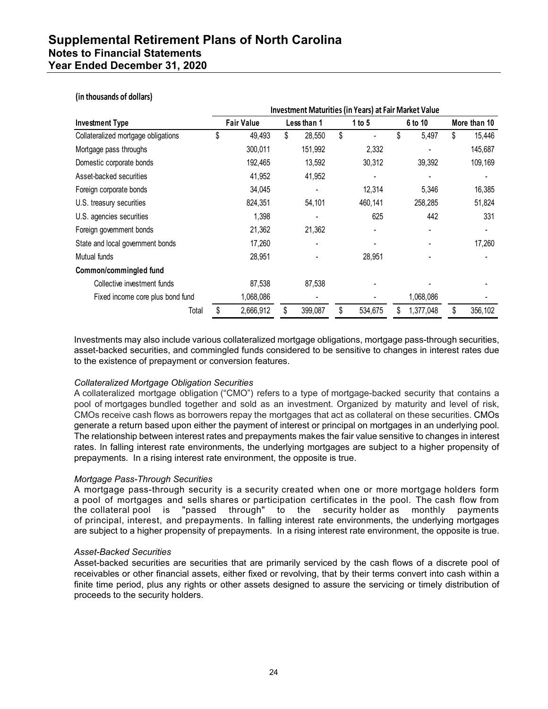# **Supplemental Retirement Plans of North Carolina Notes to Financial Statements Year Ended December 31, 2020**

#### **(in thousands of dollars)**

|                                     | <b>Investment Maturities (in Years) at Fair Market Value</b> |           |    |             |    |          |    |           |              |         |  |  |
|-------------------------------------|--------------------------------------------------------------|-----------|----|-------------|----|----------|----|-----------|--------------|---------|--|--|
| <b>Investment Type</b>              | <b>Fair Value</b>                                            |           |    | Less than 1 |    | 1 to $5$ |    | 6 to 10   | More than 10 |         |  |  |
| Collateralized mortgage obligations | \$                                                           | 49,493    | \$ | 28,550      | \$ |          | \$ | 5,497     | \$           | 15,446  |  |  |
| Mortgage pass throughs              |                                                              | 300,011   |    | 151,992     |    | 2,332    |    |           |              | 145,687 |  |  |
| Domestic corporate bonds            |                                                              | 192,465   |    | 13,592      |    | 30,312   |    | 39,392    |              | 109,169 |  |  |
| Asset-backed securities             |                                                              | 41,952    |    | 41,952      |    |          |    |           |              |         |  |  |
| Foreign corporate bonds             |                                                              | 34,045    |    |             |    | 12,314   |    | 5,346     |              | 16,385  |  |  |
| U.S. treasury securities            |                                                              | 824,351   |    | 54,101      |    | 460,141  |    | 258,285   |              | 51,824  |  |  |
| U.S. agencies securities            |                                                              | 1,398     |    |             |    | 625      |    | 442       |              | 331     |  |  |
| Foreign government bonds            |                                                              | 21,362    |    | 21,362      |    |          |    |           |              |         |  |  |
| State and local government bonds    |                                                              | 17,260    |    |             |    |          |    |           |              | 17,260  |  |  |
| Mutual funds                        |                                                              | 28,951    |    |             |    | 28,951   |    |           |              |         |  |  |
| Common/commingled fund              |                                                              |           |    |             |    |          |    |           |              |         |  |  |
| Collective investment funds         |                                                              | 87,538    |    | 87,538      |    |          |    |           |              |         |  |  |
| Fixed income core plus bond fund    |                                                              | 1,068,086 |    |             |    |          |    | 1,068,086 |              |         |  |  |
| Total                               | \$                                                           | 2,666,912 | \$ | 399.087     | \$ | 534,675  | \$ | 1,377,048 | \$           | 356,102 |  |  |

Investments may also include various collateralized mortgage obligations, mortgage pass-through securities, asset-backed securities, and commingled funds considered to be sensitive to changes in interest rates due to the existence of prepayment or conversion features.

#### *Collateralized Mortgage Obligation Securities*

A collateralized mortgage obligation ("CMO") refers to a type of mortgage-backed security that contains a pool of mortgages bundled together and sold as an investment. Organized by maturity and level of risk, CMOs receive cash flows as borrowers repay the mortgages that act as collateral on these securities. CMOs generate a return based upon either the payment of interest or principal on mortgages in an underlying pool. The relationship between interest rates and prepayments makes the fair value sensitive to changes in interest rates. In falling interest rate environments, the underlying mortgages are subject to a higher propensity of prepayments. In a rising interest rate environment, the opposite is true.

#### *Mortgage Pass-Through Securities*

A mortgage pass-through security is a security created when one or more mortgage holders form a pool of mortgages and sells shares or participation certificates in the pool. The cash flow from the collateral pool is "passed through" to the security holder as monthly payments of principal, interest, and prepayments. In falling interest rate environments, the underlying mortgages are subject to a higher propensity of prepayments. In a rising interest rate environment, the opposite is true.

## *Asset-Backed Securities*

Asset-backed securities are securities that are primarily serviced by the cash flows of a discrete pool of receivables or other financial assets, either fixed or revolving, that by their terms convert into cash within a finite time period, plus any rights or other assets designed to assure the servicing or timely distribution of proceeds to the security holders.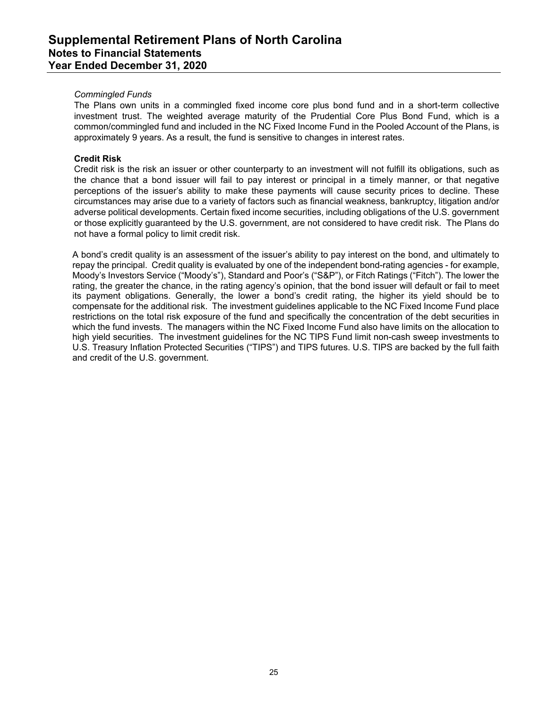# **Supplemental Retirement Plans of North Carolina Notes to Financial Statements Year Ended December 31, 2020**

#### *Commingled Funds*

The Plans own units in a commingled fixed income core plus bond fund and in a short-term collective investment trust. The weighted average maturity of the Prudential Core Plus Bond Fund, which is a common/commingled fund and included in the NC Fixed Income Fund in the Pooled Account of the Plans, is approximately 9 years. As a result, the fund is sensitive to changes in interest rates.

## **Credit Risk**

Credit risk is the risk an issuer or other counterparty to an investment will not fulfill its obligations, such as the chance that a bond issuer will fail to pay interest or principal in a timely manner, or that negative perceptions of the issuer's ability to make these payments will cause security prices to decline. These circumstances may arise due to a variety of factors such as financial weakness, bankruptcy, litigation and/or adverse political developments. Certain fixed income securities, including obligations of the U.S. government or those explicitly guaranteed by the U.S. government, are not considered to have credit risk. The Plans do not have a formal policy to limit credit risk.

A bond's credit quality is an assessment of the issuer's ability to pay interest on the bond, and ultimately to repay the principal. Credit quality is evaluated by one of the independent bond-rating agencies - for example, Moody's Investors Service ("Moody's"), Standard and Poor's ("S&P"), or Fitch Ratings ("Fitch"). The lower the rating, the greater the chance, in the rating agency's opinion, that the bond issuer will default or fail to meet its payment obligations. Generally, the lower a bond's credit rating, the higher its yield should be to compensate for the additional risk. The investment guidelines applicable to the NC Fixed Income Fund place restrictions on the total risk exposure of the fund and specifically the concentration of the debt securities in which the fund invests. The managers within the NC Fixed Income Fund also have limits on the allocation to high yield securities. The investment guidelines for the NC TIPS Fund limit non-cash sweep investments to U.S. Treasury Inflation Protected Securities ("TIPS") and TIPS futures. U.S. TIPS are backed by the full faith and credit of the U.S. government.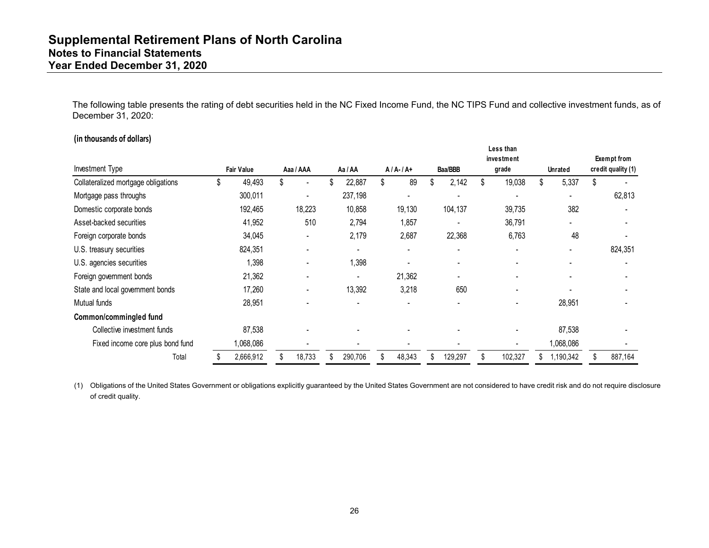The following table presents the rating of debt securities held in the NC Fixed Income Fund, the NC TIPS Fund and collective investment funds, as of December 31, 2020:

## **(in thousands of dollars)**

|                                     |                   |           |  |         |  |                |  |                | Less than           |         |           |                                          |         |
|-------------------------------------|-------------------|-----------|--|---------|--|----------------|--|----------------|---------------------|---------|-----------|------------------------------------------|---------|
| Investment Type                     | <b>Fair Value</b> | Aaa / AAA |  | Aa / AA |  | $A/A$ -/ $A$ + |  | Baa/BBB        | investment<br>grade | Unrated |           | <b>Exempt from</b><br>credit quality (1) |         |
| Collateralized mortgage obligations | \$<br>49,493      | \$        |  | 22,887  |  | 89             |  | 2,142          | \$<br>19,038        |         | 5,337     |                                          |         |
| Mortgage pass throughs              | 300,011           | ۰         |  | 237,198 |  |                |  |                |                     |         |           |                                          | 62,813  |
| Domestic corporate bonds            | 192,465           | 18,223    |  | 10,858  |  | 19,130         |  | 104,137        | 39,735              |         | 382       |                                          |         |
| Asset-backed securities             | 41,952            | 510       |  | 2,794   |  | 1,857          |  |                | 36,791              |         |           |                                          |         |
| Foreign corporate bonds             | 34,045            | ٠         |  | 2,179   |  | 2,687          |  | 22,368         | 6,763               |         | 48        |                                          |         |
| U.S. treasury securities            | 824,351           |           |  |         |  |                |  |                |                     |         |           |                                          | 824,351 |
| U.S. agencies securities            | 1,398             | ۰         |  | 1,398   |  |                |  | $\blacksquare$ | ٠                   |         |           |                                          |         |
| Foreign government bonds            | 21,362            |           |  |         |  | 21,362         |  |                |                     |         |           |                                          |         |
| State and local government bonds    | 17,260            |           |  | 13,392  |  | 3,218          |  | 650            |                     |         |           |                                          |         |
| Mutual funds                        | 28,951            | ۰         |  |         |  | ٠              |  |                | ۰                   |         | 28,951    |                                          |         |
| Common/commingled fund              |                   |           |  |         |  |                |  |                |                     |         |           |                                          |         |
| Collective investment funds         | 87,538            |           |  |         |  |                |  |                |                     |         | 87,538    |                                          |         |
| Fixed income core plus bond fund    | 1,068,086         |           |  |         |  |                |  |                |                     |         | 1,068,086 |                                          |         |
| Total                               | \$<br>2,666,912   | 18,733    |  | 290,706 |  | 48,343         |  | 129,297        | \$<br>102,327       |         | 1,190,342 |                                          | 887,164 |

(1) Obligations of the United States Government or obligations explicitly guaranteed by the United States Government are not considered to have credit risk and do not require disclosure of credit quality.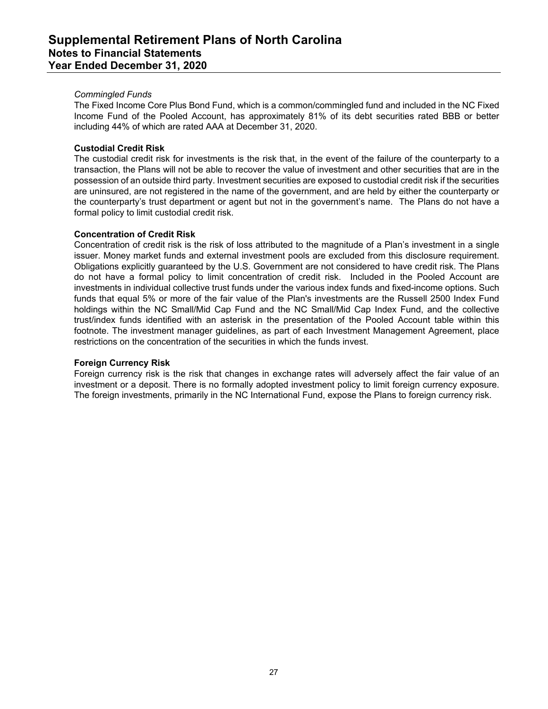# **Supplemental Retirement Plans of North Carolina Notes to Financial Statements Year Ended December 31, 2020**

#### *Commingled Funds*

The Fixed Income Core Plus Bond Fund, which is a common/commingled fund and included in the NC Fixed Income Fund of the Pooled Account, has approximately 81% of its debt securities rated BBB or better including 44% of which are rated AAA at December 31, 2020.

#### **Custodial Credit Risk**

The custodial credit risk for investments is the risk that, in the event of the failure of the counterparty to a transaction, the Plans will not be able to recover the value of investment and other securities that are in the possession of an outside third party. Investment securities are exposed to custodial credit risk if the securities are uninsured, are not registered in the name of the government, and are held by either the counterparty or the counterparty's trust department or agent but not in the government's name. The Plans do not have a formal policy to limit custodial credit risk.

#### **Concentration of Credit Risk**

Concentration of credit risk is the risk of loss attributed to the magnitude of a Plan's investment in a single issuer. Money market funds and external investment pools are excluded from this disclosure requirement. Obligations explicitly guaranteed by the U.S. Government are not considered to have credit risk. The Plans do not have a formal policy to limit concentration of credit risk. Included in the Pooled Account are investments in individual collective trust funds under the various index funds and fixed-income options. Such funds that equal 5% or more of the fair value of the Plan's investments are the Russell 2500 Index Fund holdings within the NC Small/Mid Cap Fund and the NC Small/Mid Cap Index Fund, and the collective trust/index funds identified with an asterisk in the presentation of the Pooled Account table within this footnote. The investment manager guidelines, as part of each Investment Management Agreement, place restrictions on the concentration of the securities in which the funds invest.

## **Foreign Currency Risk**

Foreign currency risk is the risk that changes in exchange rates will adversely affect the fair value of an investment or a deposit. There is no formally adopted investment policy to limit foreign currency exposure. The foreign investments, primarily in the NC International Fund, expose the Plans to foreign currency risk.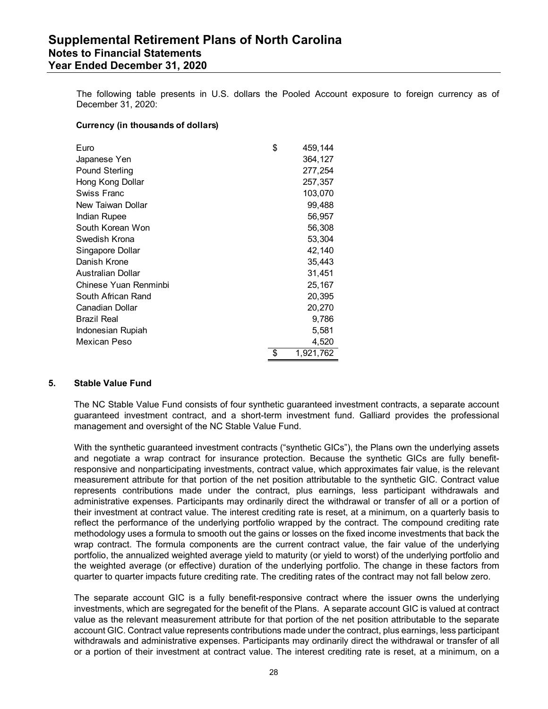The following table presents in U.S. dollars the Pooled Account exposure to foreign currency as of December 31, 2020:

#### **Currency (in thousands of dollars)**

| Euro                  | \$<br>459,144   |
|-----------------------|-----------------|
| Japanese Yen          | 364,127         |
| <b>Pound Sterling</b> | 277,254         |
| Hong Kong Dollar      | 257,357         |
| Swiss Franc           | 103,070         |
| New Taiwan Dollar     | 99,488          |
| Indian Rupee          | 56,957          |
| South Korean Won      | 56,308          |
| Swedish Krona         | 53,304          |
| Singapore Dollar      | 42,140          |
| Danish Krone          | 35,443          |
| Australian Dollar     | 31,451          |
| Chinese Yuan Renminbi | 25,167          |
| South African Rand    | 20,395          |
| Canadian Dollar       | 20,270          |
| Brazil Real           | 9,786           |
| Indonesian Rupiah     | 5,581           |
| Mexican Peso          | 4,520           |
|                       | \$<br>1,921,762 |

#### **5. Stable Value Fund**

The NC Stable Value Fund consists of four synthetic guaranteed investment contracts, a separate account guaranteed investment contract, and a short-term investment fund. Galliard provides the professional management and oversight of the NC Stable Value Fund.

With the synthetic guaranteed investment contracts ("synthetic GICs"), the Plans own the underlying assets and negotiate a wrap contract for insurance protection. Because the synthetic GICs are fully benefitresponsive and nonparticipating investments, contract value, which approximates fair value, is the relevant measurement attribute for that portion of the net position attributable to the synthetic GIC. Contract value represents contributions made under the contract, plus earnings, less participant withdrawals and administrative expenses. Participants may ordinarily direct the withdrawal or transfer of all or a portion of their investment at contract value. The interest crediting rate is reset, at a minimum, on a quarterly basis to reflect the performance of the underlying portfolio wrapped by the contract. The compound crediting rate methodology uses a formula to smooth out the gains or losses on the fixed income investments that back the wrap contract. The formula components are the current contract value, the fair value of the underlying portfolio, the annualized weighted average yield to maturity (or yield to worst) of the underlying portfolio and the weighted average (or effective) duration of the underlying portfolio. The change in these factors from quarter to quarter impacts future crediting rate. The crediting rates of the contract may not fall below zero.

The separate account GIC is a fully benefit-responsive contract where the issuer owns the underlying investments, which are segregated for the benefit of the Plans. A separate account GIC is valued at contract value as the relevant measurement attribute for that portion of the net position attributable to the separate account GIC. Contract value represents contributions made under the contract, plus earnings, less participant withdrawals and administrative expenses. Participants may ordinarily direct the withdrawal or transfer of all or a portion of their investment at contract value. The interest crediting rate is reset, at a minimum, on a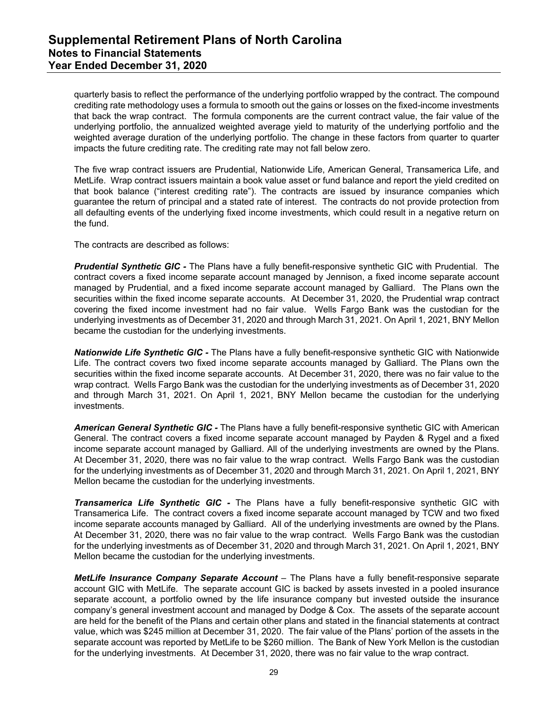quarterly basis to reflect the performance of the underlying portfolio wrapped by the contract. The compound crediting rate methodology uses a formula to smooth out the gains or losses on the fixed-income investments that back the wrap contract. The formula components are the current contract value, the fair value of the underlying portfolio, the annualized weighted average yield to maturity of the underlying portfolio and the weighted average duration of the underlying portfolio. The change in these factors from quarter to quarter impacts the future crediting rate. The crediting rate may not fall below zero.

The five wrap contract issuers are Prudential, Nationwide Life, American General, Transamerica Life, and MetLife. Wrap contract issuers maintain a book value asset or fund balance and report the yield credited on that book balance ("interest crediting rate"). The contracts are issued by insurance companies which guarantee the return of principal and a stated rate of interest. The contracts do not provide protection from all defaulting events of the underlying fixed income investments, which could result in a negative return on the fund.

The contracts are described as follows:

*Prudential Synthetic GIC -* The Plans have a fully benefit-responsive synthetic GIC with Prudential. The contract covers a fixed income separate account managed by Jennison, a fixed income separate account managed by Prudential, and a fixed income separate account managed by Galliard. The Plans own the securities within the fixed income separate accounts. At December 31, 2020, the Prudential wrap contract covering the fixed income investment had no fair value. Wells Fargo Bank was the custodian for the underlying investments as of December 31, 2020 and through March 31, 2021. On April 1, 2021, BNY Mellon became the custodian for the underlying investments.

*Nationwide Life Synthetic GIC -* The Plans have a fully benefit-responsive synthetic GIC with Nationwide Life. The contract covers two fixed income separate accounts managed by Galliard. The Plans own the securities within the fixed income separate accounts. At December 31, 2020, there was no fair value to the wrap contract. Wells Fargo Bank was the custodian for the underlying investments as of December 31, 2020 and through March 31, 2021. On April 1, 2021, BNY Mellon became the custodian for the underlying investments.

*American General Synthetic GIC -* The Plans have a fully benefit-responsive synthetic GIC with American General. The contract covers a fixed income separate account managed by Payden & Rygel and a fixed income separate account managed by Galliard. All of the underlying investments are owned by the Plans. At December 31, 2020, there was no fair value to the wrap contract. Wells Fargo Bank was the custodian for the underlying investments as of December 31, 2020 and through March 31, 2021. On April 1, 2021, BNY Mellon became the custodian for the underlying investments.

*Transamerica Life Synthetic GIC -* The Plans have a fully benefit-responsive synthetic GIC with Transamerica Life. The contract covers a fixed income separate account managed by TCW and two fixed income separate accounts managed by Galliard. All of the underlying investments are owned by the Plans. At December 31, 2020, there was no fair value to the wrap contract. Wells Fargo Bank was the custodian for the underlying investments as of December 31, 2020 and through March 31, 2021. On April 1, 2021, BNY Mellon became the custodian for the underlying investments.

*MetLife Insurance Company Separate Account* – The Plans have a fully benefit-responsive separate account GIC with MetLife. The separate account GIC is backed by assets invested in a pooled insurance separate account, a portfolio owned by the life insurance company but invested outside the insurance company's general investment account and managed by Dodge & Cox. The assets of the separate account are held for the benefit of the Plans and certain other plans and stated in the financial statements at contract value, which was \$245 million at December 31, 2020. The fair value of the Plans' portion of the assets in the separate account was reported by MetLife to be \$260 million. The Bank of New York Mellon is the custodian for the underlying investments. At December 31, 2020, there was no fair value to the wrap contract.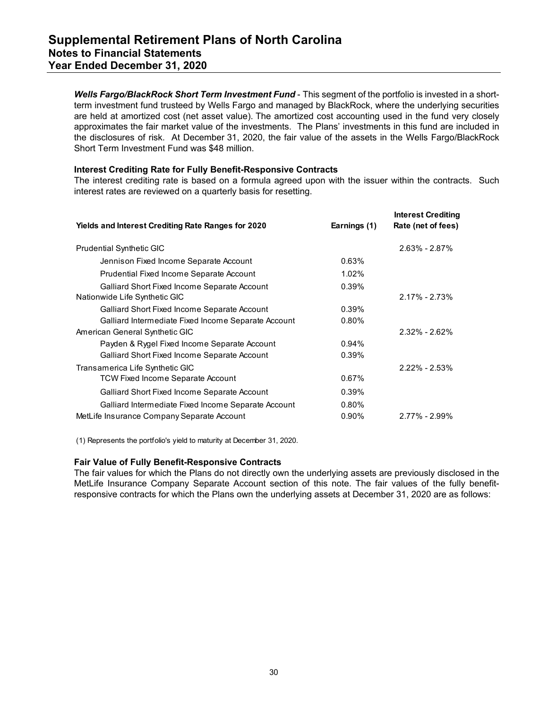*Wells Fargo/BlackRock Short Term Investment Fund* - This segment of the portfolio is invested in a shortterm investment fund trusteed by Wells Fargo and managed by BlackRock, where the underlying securities are held at amortized cost (net asset value). The amortized cost accounting used in the fund very closely approximates the fair market value of the investments. The Plans' investments in this fund are included in the disclosures of risk. At December 31, 2020, the fair value of the assets in the Wells Fargo/BlackRock Short Term Investment Fund was \$48 million.

#### **Interest Crediting Rate for Fully Benefit-Responsive Contracts**

The interest crediting rate is based on a formula agreed upon with the issuer within the contracts. Such interest rates are reviewed on a quarterly basis for resetting.

| <b>Yields and Interest Crediting Rate Ranges for 2020</b> | Earnings (1) | <b>Interest Crediting</b><br>Rate (net of fees) |
|-----------------------------------------------------------|--------------|-------------------------------------------------|
| <b>Prudential Synthetic GIC</b>                           |              | $2.63\% - 2.87\%$                               |
| Jennison Fixed Income Separate Account                    | 0.63%        |                                                 |
| Prudential Fixed Income Separate Account                  | 1.02%        |                                                 |
| Galliard Short Fixed Income Separate Account              | 0.39%        |                                                 |
| Nationwide Life Synthetic GIC                             |              | $2.17\% - 2.73\%$                               |
| Galliard Short Fixed Income Separate Account              | 0.39%        |                                                 |
| Galliard Intermediate Fixed Income Separate Account       | 0.80%        |                                                 |
| American General Synthetic GIC                            |              | $2.32\% - 2.62\%$                               |
| Payden & Rygel Fixed Income Separate Account              | 0.94%        |                                                 |
| Galliard Short Fixed Income Separate Account              | 0.39%        |                                                 |
| Transamerica Life Synthetic GIC                           |              | $2.22\% - 2.53\%$                               |
| TCW Fixed Income Separate Account                         | 0.67%        |                                                 |
| Galliard Short Fixed Income Separate Account              | 0.39%        |                                                 |
| Galliard Intermediate Fixed Income Separate Account       | 0.80%        |                                                 |
| MetLife Insurance Company Separate Account                | 0.90%        | $2.77\% - 2.99\%$                               |

(1) Represents the portfolio's yield to maturity at December 31, 2020.

#### **Fair Value of Fully Benefit-Responsive Contracts**

The fair values for which the Plans do not directly own the underlying assets are previously disclosed in the MetLife Insurance Company Separate Account section of this note. The fair values of the fully benefitresponsive contracts for which the Plans own the underlying assets at December 31, 2020 are as follows: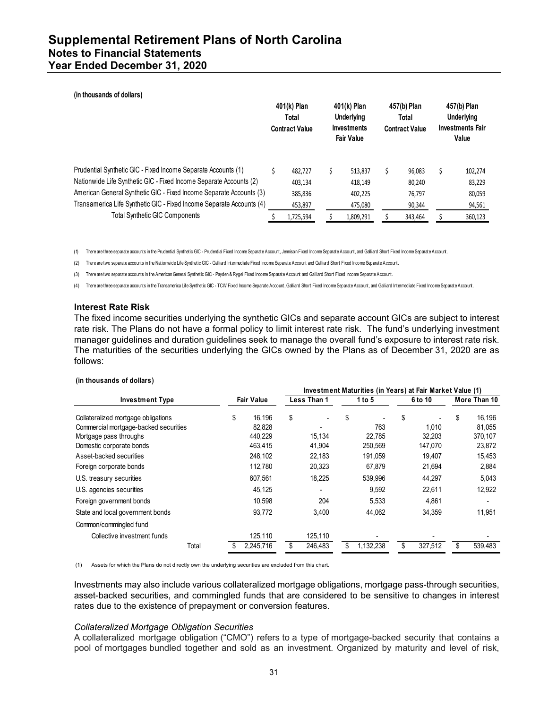| (in thousands of dollars)                                            |  | 401(k) Plan<br>Total<br><b>Contract Value</b> |   | 401(k) Plan<br>Underlying<br><b>Investments</b><br><b>Fair Value</b> | 457(b) Plan<br>Total<br><b>Contract Value</b> | 457(b) Plan<br><b>Underlying</b><br><b>Investments Fair</b><br>Value |         |
|----------------------------------------------------------------------|--|-----------------------------------------------|---|----------------------------------------------------------------------|-----------------------------------------------|----------------------------------------------------------------------|---------|
| Prudential Synthetic GIC - Fixed Income Separate Accounts (1)        |  | 482.727                                       | S | 513.837                                                              | \$<br>96.083                                  | \$                                                                   | 102,274 |
| Nationwide Life Synthetic GIC - Fixed Income Separate Accounts (2)   |  | 403.134                                       |   | 418,149                                                              | 80.240                                        |                                                                      | 83,229  |
| American General Synthetic GIC - Fixed Income Separate Accounts (3)  |  | 385.836                                       |   | 402,225                                                              | 76.797                                        |                                                                      | 80,059  |
| Transamerica Life Synthetic GIC - Fixed Income Separate Accounts (4) |  | 453,897                                       |   | 475,080                                                              | 90,344                                        |                                                                      | 94,561  |
| <b>Total Synthetic GIC Components</b>                                |  | 1,725,594                                     |   | 1,809,291                                                            | 343,464                                       |                                                                      | 360,123 |

(1) There are three separate accounts in the Prudential Synthetic GIC - Prudential Fixed Income Separate Account, Jennison Fixed Income Separate Account, and Galliard Short Fixed Income Separate Account.

(2) There are two separate accounts in the Nationwide Life Synthetic GIC - Galliard Intermediate Fixed Income Separate Account and Galliard Short Fixed Income Separate Account.

(3) There are two separate accounts in the American General Synthetic GIC - Payden & Rygel Fixed Income Separate Account and Galliard Short Fixed Income Separate Account.

(4) There are three separate accounts in the Transamerica Life Synthetic GIC - TCW Fixed Income Separate Account, Galliard Short Fixed Income Separate Account, and Galliard Intermediate Fixed Income Separate Account.

#### **Interest Rate Risk**

The fixed income securities underlying the synthetic GICs and separate account GICs are subject to interest rate risk. The Plans do not have a formal policy to limit interest rate risk. The fund's underlying investment manager guidelines and duration guidelines seek to manage the overall fund's exposure to interest rate risk. The maturities of the securities underlying the GICs owned by the Plans as of December 31, 2020 are as follows:

|                                       |    |                   | Investment Maturities (in Years) at Fair Market Value (1) |                |    |                          |         |         |              |         |  |  |  |
|---------------------------------------|----|-------------------|-----------------------------------------------------------|----------------|----|--------------------------|---------|---------|--------------|---------|--|--|--|
| <b>Investment Type</b>                |    | <b>Fair Value</b> |                                                           | Less Than 1    |    | 1 to 5                   | 6 to 10 |         | More Than 10 |         |  |  |  |
| Collateralized mortgage obligations   | \$ | 16,196            | \$                                                        | ٠              | S  | $\overline{\phantom{a}}$ | \$      |         | \$           | 16,196  |  |  |  |
| Commercial mortgage-backed securities |    | 82,828            |                                                           |                |    | 763                      |         | 1.010   |              | 81,055  |  |  |  |
| Mortgage pass throughs                |    | 440,229           |                                                           | 15.134         |    | 22.785                   |         | 32.203  |              | 370,107 |  |  |  |
| Domestic corporate bonds              |    | 463,415           |                                                           | 41,904         |    | 250.569                  |         | 147,070 |              | 23,872  |  |  |  |
| Asset-backed securities               |    | 248,102           |                                                           | 22,183         |    | 191,059                  |         | 19,407  |              | 15,453  |  |  |  |
| Foreign corporate bonds               |    | 112.780           |                                                           | 20,323         |    | 67.879                   |         | 21.694  |              | 2,884   |  |  |  |
| U.S. treasury securities              |    | 607,561           |                                                           | 18,225         |    | 539,996                  |         | 44,297  |              | 5,043   |  |  |  |
| U.S. agencies securities              |    | 45,125            |                                                           | $\blacksquare$ |    | 9,592                    |         | 22,611  |              | 12,922  |  |  |  |
| Foreign government bonds              |    | 10,598            |                                                           | 204            |    | 5,533                    |         | 4,861   |              | ۰       |  |  |  |
| State and local government bonds      |    | 93,772            |                                                           | 3,400          |    | 44,062                   |         | 34,359  |              | 11,951  |  |  |  |
| Common/commingled fund                |    |                   |                                                           |                |    |                          |         |         |              |         |  |  |  |
| Collective investment funds           |    | 125,110           |                                                           | 125,110        |    |                          |         |         |              |         |  |  |  |
| Total                                 |    | 2,245,716         | \$                                                        | 246,483        | \$ | 1,132,238                | \$      | 327,512 |              | 539,483 |  |  |  |

#### **(in thousands of dollars)**

(1) Assets for which the Plans do not directly own the underlying securities are excluded from this chart.

Investments may also include various collateralized mortgage obligations, mortgage pass-through securities, asset-backed securities, and commingled funds that are considered to be sensitive to changes in interest rates due to the existence of prepayment or conversion features.

#### *Collateralized Mortgage Obligation Securities*

A collateralized mortgage obligation ("CMO") refers to a type of mortgage-backed security that contains a pool of mortgages bundled together and sold as an investment. Organized by maturity and level of risk,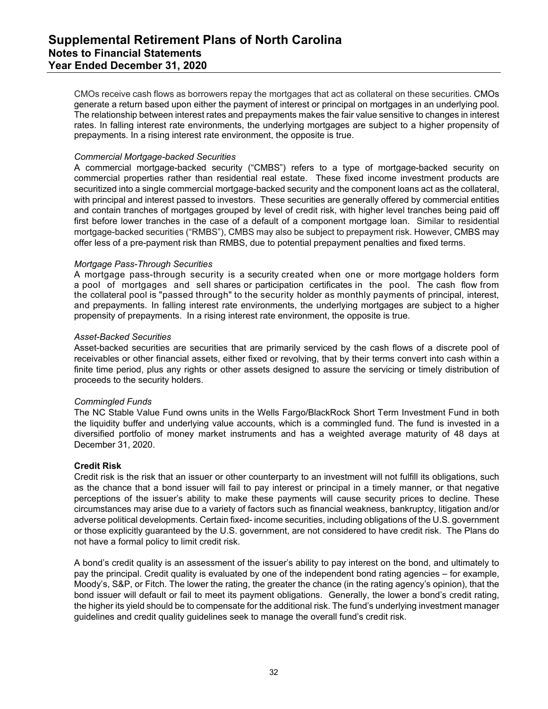CMOs receive cash flows as borrowers repay the mortgages that act as collateral on these securities. CMOs generate a return based upon either the payment of interest or principal on mortgages in an underlying pool. The relationship between interest rates and prepayments makes the fair value sensitive to changes in interest rates. In falling interest rate environments, the underlying mortgages are subject to a higher propensity of prepayments. In a rising interest rate environment, the opposite is true.

#### *Commercial Mortgage-backed Securities*

A commercial mortgage-backed security ("CMBS") refers to a type of mortgage-backed security on commercial properties rather than residential real estate. These fixed income investment products are securitized into a single commercial mortgage-backed security and the component loans act as the collateral, with principal and interest passed to investors. These securities are generally offered by commercial entities and contain tranches of mortgages grouped by level of credit risk, with higher level tranches being paid off first before lower tranches in the case of a default of a component mortgage loan. Similar to residential mortgage-backed securities ("RMBS"), CMBS may also be subject to prepayment risk. However, CMBS may offer less of a pre-payment risk than RMBS, due to potential prepayment penalties and fixed terms.

#### *Mortgage Pass-Through Securities*

A mortgage pass-through security is a security created when one or more mortgage holders form a pool of mortgages and sell shares or participation certificates in the pool. The cash flow from the collateral pool is "passed through" to the security holder as monthly payments of principal, interest, and prepayments. In falling interest rate environments, the underlying mortgages are subject to a higher propensity of prepayments. In a rising interest rate environment, the opposite is true.

#### *Asset-Backed Securities*

Asset-backed securities are securities that are primarily serviced by the cash flows of a discrete pool of receivables or other financial assets, either fixed or revolving, that by their terms convert into cash within a finite time period, plus any rights or other assets designed to assure the servicing or timely distribution of proceeds to the security holders.

#### *Commingled Funds*

The NC Stable Value Fund owns units in the Wells Fargo/BlackRock Short Term Investment Fund in both the liquidity buffer and underlying value accounts, which is a commingled fund. The fund is invested in a diversified portfolio of money market instruments and has a weighted average maturity of 48 days at December 31, 2020.

#### **Credit Risk**

Credit risk is the risk that an issuer or other counterparty to an investment will not fulfill its obligations, such as the chance that a bond issuer will fail to pay interest or principal in a timely manner, or that negative perceptions of the issuer's ability to make these payments will cause security prices to decline. These circumstances may arise due to a variety of factors such as financial weakness, bankruptcy, litigation and/or adverse political developments. Certain fixed- income securities, including obligations of the U.S. government or those explicitly guaranteed by the U.S. government, are not considered to have credit risk. The Plans do not have a formal policy to limit credit risk.

A bond's credit quality is an assessment of the issuer's ability to pay interest on the bond, and ultimately to pay the principal. Credit quality is evaluated by one of the independent bond rating agencies – for example, Moody's, S&P, or Fitch. The lower the rating, the greater the chance (in the rating agency's opinion), that the bond issuer will default or fail to meet its payment obligations. Generally, the lower a bond's credit rating, the higher its yield should be to compensate for the additional risk. The fund's underlying investment manager guidelines and credit quality guidelines seek to manage the overall fund's credit risk.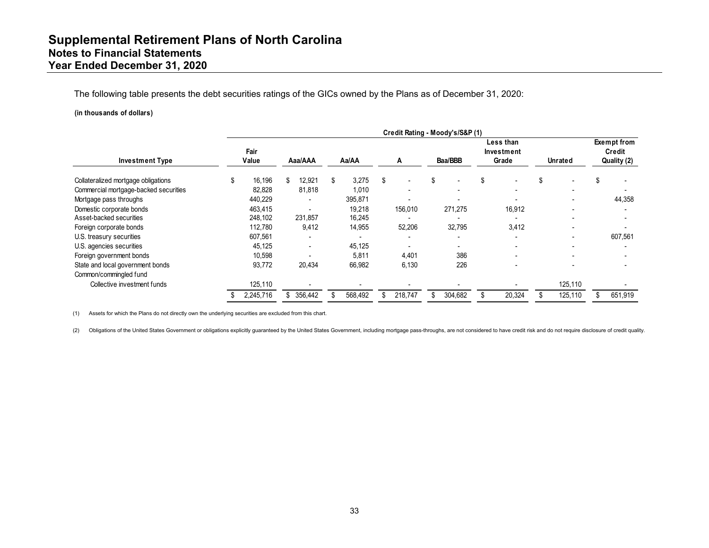The following table presents the debt securities ratings of the GICs owned by the Plans as of December 31, 2020:

#### **(in thousands of dollars)**

|                                       |               |           |         |                |       |         |    |                |         | Credit Rating - Moody's/S&P (1) |                                  |        |                |         | Exempt from<br>Credit<br>Quality (2)<br>44,358<br>۰ |         |  |  |  |  |  |  |  |  |  |  |
|---------------------------------------|---------------|-----------|---------|----------------|-------|---------|----|----------------|---------|---------------------------------|----------------------------------|--------|----------------|---------|-----------------------------------------------------|---------|--|--|--|--|--|--|--|--|--|--|
| <b>Investment Type</b>                | Fair<br>Value |           | Aaa/AAA |                | Aa/AA |         | А  |                | Baa/BBB |                                 | Less than<br>Investment<br>Grade |        | <b>Unrated</b> |         |                                                     |         |  |  |  |  |  |  |  |  |  |  |
| Collateralized mortgage obligations   |               | 16,196    | S.      | 12,921         | \$    | 3,275   | \$ |                | \$      |                                 | \$                               | ۰      |                |         |                                                     |         |  |  |  |  |  |  |  |  |  |  |
| Commercial mortgage-backed securities |               | 82,828    |         | 81,818         |       | 1,010   |    | $\blacksquare$ |         |                                 |                                  | ٠      |                |         |                                                     |         |  |  |  |  |  |  |  |  |  |  |
| Mortgage pass throughs                |               | 440,229   |         |                |       | 395,871 |    |                |         |                                 |                                  | ٠      |                |         |                                                     |         |  |  |  |  |  |  |  |  |  |  |
| Domestic corporate bonds              |               | 463,415   |         |                |       | 19.218  |    | 156,010        |         | 271,275                         |                                  | 16,912 |                |         |                                                     |         |  |  |  |  |  |  |  |  |  |  |
| Asset-backed securities               |               | 248,102   |         | 231,857        |       | 16,245  |    |                |         |                                 |                                  |        |                |         |                                                     |         |  |  |  |  |  |  |  |  |  |  |
| Foreign corporate bonds               |               | 112,780   |         | 9,412          |       | 14,955  |    | 52,206         |         | 32,795                          |                                  | 3,412  |                |         |                                                     |         |  |  |  |  |  |  |  |  |  |  |
| U.S. treasury securities              |               | 607,561   |         |                |       |         |    |                |         |                                 |                                  | ٠      |                |         |                                                     | 607,561 |  |  |  |  |  |  |  |  |  |  |
| U.S. agencies securities              |               | 45,125    |         | $\blacksquare$ |       | 45,125  |    |                |         |                                 |                                  | ۰      |                |         |                                                     |         |  |  |  |  |  |  |  |  |  |  |
| Foreign government bonds              |               | 10,598    |         |                |       | 5,811   |    | 4,401          |         | 386                             |                                  | ۰      |                |         |                                                     |         |  |  |  |  |  |  |  |  |  |  |
| State and local government bonds      |               | 93,772    |         | 20,434         |       | 66,982  |    | 6,130          |         | 226                             |                                  | -      |                |         |                                                     |         |  |  |  |  |  |  |  |  |  |  |
| Common/commingled fund                |               |           |         |                |       |         |    |                |         |                                 |                                  |        |                |         |                                                     |         |  |  |  |  |  |  |  |  |  |  |
| Collective investment funds           |               | 125,110   |         |                |       |         |    |                |         |                                 |                                  |        |                | 125,110 |                                                     |         |  |  |  |  |  |  |  |  |  |  |
|                                       |               | 2.245.716 | \$      | 356.442        |       | 568.492 |    | 218.747        | \$      | 304,682                         | \$                               | 20,324 | \$             | 125.110 | \$                                                  | 651,919 |  |  |  |  |  |  |  |  |  |  |

(1) Assets for which the Plans do not directly own the underlying securities are excluded from this chart.

(2) Obligations of the United States Government or obligations explicitly guaranteed by the United States Government, including mortgage pass-throughs, are not considered to have credit risk and do not require disclosure o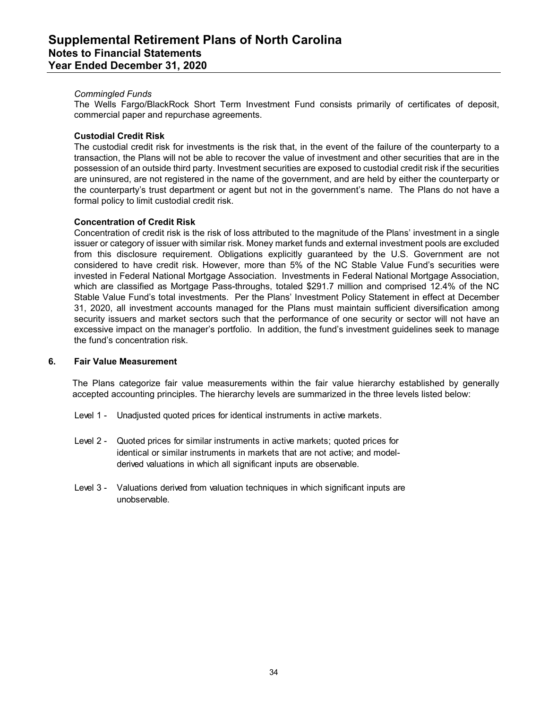#### *Commingled Funds*

The Wells Fargo/BlackRock Short Term Investment Fund consists primarily of certificates of deposit, commercial paper and repurchase agreements.

#### **Custodial Credit Risk**

The custodial credit risk for investments is the risk that, in the event of the failure of the counterparty to a transaction, the Plans will not be able to recover the value of investment and other securities that are in the possession of an outside third party. Investment securities are exposed to custodial credit risk if the securities are uninsured, are not registered in the name of the government, and are held by either the counterparty or the counterparty's trust department or agent but not in the government's name. The Plans do not have a formal policy to limit custodial credit risk.

## **Concentration of Credit Risk**

Concentration of credit risk is the risk of loss attributed to the magnitude of the Plans' investment in a single issuer or category of issuer with similar risk. Money market funds and external investment pools are excluded from this disclosure requirement. Obligations explicitly guaranteed by the U.S. Government are not considered to have credit risk. However, more than 5% of the NC Stable Value Fund's securities were invested in Federal National Mortgage Association. Investments in Federal National Mortgage Association, which are classified as Mortgage Pass-throughs, totaled \$291.7 million and comprised 12.4% of the NC Stable Value Fund's total investments. Per the Plans' Investment Policy Statement in effect at December 31, 2020, all investment accounts managed for the Plans must maintain sufficient diversification among security issuers and market sectors such that the performance of one security or sector will not have an excessive impact on the manager's portfolio. In addition, the fund's investment guidelines seek to manage the fund's concentration risk.

#### **6. Fair Value Measurement**

The Plans categorize fair value measurements within the fair value hierarchy established by generally accepted accounting principles. The hierarchy levels are summarized in the three levels listed below:

- Level 1 Unadjusted quoted prices for identical instruments in active markets.
- Level 2 Quoted prices for similar instruments in active markets; quoted prices for identical or similar instruments in markets that are not active; and modelderived valuations in which all significant inputs are observable.
- Level 3 Valuations derived from valuation techniques in which significant inputs are unobservable. The contract of the contract of the contract of the contract of the contract of the contract of the contract of the contract of the contract of the contract of the contract of the contract of the contract of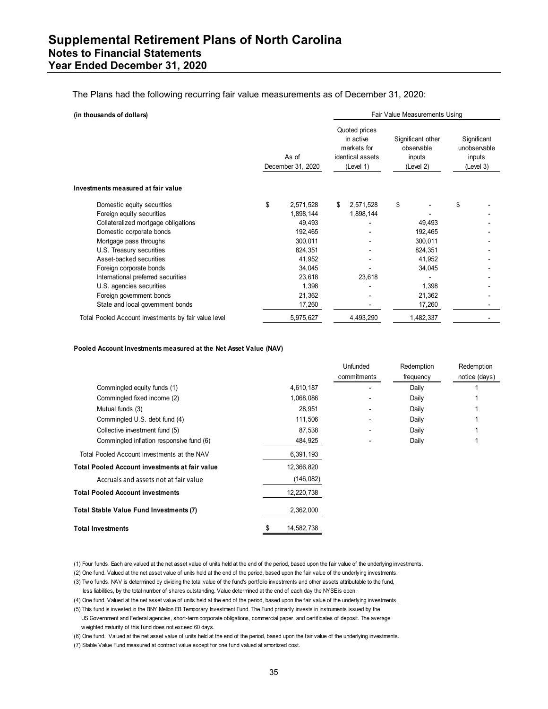#### The Plans had the following recurring fair value measurements as of December 31, 2020:

| (in thousands of dollars)                            |                            | Fair Value Measurements Using |    |                                                                            |    |                                                        |                                                    |  |  |  |
|------------------------------------------------------|----------------------------|-------------------------------|----|----------------------------------------------------------------------------|----|--------------------------------------------------------|----------------------------------------------------|--|--|--|
|                                                      | As of<br>December 31, 2020 |                               |    | Quoted prices<br>in active<br>markets for<br>identical assets<br>(Level 1) |    | Significant other<br>observable<br>inputs<br>(Level 2) | Significant<br>unobservable<br>inputs<br>(Level 3) |  |  |  |
| Investments measured at fair value                   |                            |                               |    |                                                                            |    |                                                        |                                                    |  |  |  |
| Domestic equity securities                           | \$                         | 2,571,528                     | \$ | 2,571,528                                                                  | \$ |                                                        | \$                                                 |  |  |  |
| Foreign equity securities                            |                            | 1,898,144                     |    | 1,898,144                                                                  |    |                                                        |                                                    |  |  |  |
| Collateralized mortgage obligations                  |                            | 49,493                        |    |                                                                            |    | 49,493                                                 |                                                    |  |  |  |
| Domestic corporate bonds                             |                            | 192,465                       |    |                                                                            |    | 192,465                                                |                                                    |  |  |  |
| Mortgage pass throughs                               |                            | 300,011                       |    |                                                                            |    | 300,011                                                |                                                    |  |  |  |
| U.S. Treasury securities                             |                            | 824,351                       |    |                                                                            |    | 824,351                                                |                                                    |  |  |  |
| Asset-backed securities                              |                            | 41,952                        |    |                                                                            |    | 41,952                                                 |                                                    |  |  |  |
| Foreign corporate bonds                              |                            | 34,045                        |    |                                                                            |    | 34,045                                                 |                                                    |  |  |  |
| International preferred securities                   |                            | 23,618                        |    | 23,618                                                                     |    |                                                        |                                                    |  |  |  |
| U.S. agencies securities                             |                            | 1,398                         |    |                                                                            |    | 1,398                                                  |                                                    |  |  |  |
| Foreign government bonds                             |                            | 21,362                        |    |                                                                            |    | 21,362                                                 |                                                    |  |  |  |
| State and local government bonds                     |                            | 17,260                        |    |                                                                            |    | 17,260                                                 |                                                    |  |  |  |
| Total Pooled Account investments by fair value level |                            | 5,975,627                     |    | 4,493,290                                                                  |    | 1,482,337                                              |                                                    |  |  |  |

#### **Pooled Account Investments measured at the Net Asset Value (NAV)**

|                                                |    |            | Unfunded    | Redemption | Redemption    |
|------------------------------------------------|----|------------|-------------|------------|---------------|
|                                                |    |            | commitments | frequency  | notice (days) |
| Commingled equity funds (1)                    |    | 4,610,187  |             | Daily      |               |
| Commingled fixed income (2)                    |    | 1,068,086  |             | Daily      |               |
| Mutual funds (3)                               |    | 28,951     |             | Daily      |               |
| Commingled U.S. debt fund (4)                  |    | 111,506    |             | Daily      |               |
| Collective investment fund (5)                 |    | 87,538     |             | Daily      |               |
| Commingled inflation responsive fund (6)       |    | 484,925    |             | Daily      |               |
| Total Pooled Account investments at the NAV    |    | 6,391,193  |             |            |               |
| Total Pooled Account investments at fair value |    | 12,366,820 |             |            |               |
| Accruals and assets not at fair value          |    | (146, 082) |             |            |               |
| <b>Total Pooled Account investments</b>        |    | 12,220,738 |             |            |               |
| Total Stable Value Fund Investments (7)        |    | 2,362,000  |             |            |               |
| Total Investments                              | \$ | 14,582,738 |             |            |               |

(1) Four funds. Each are valued at the net asset value of units held at the end of the period, based upon the fair value of the underlying investments.

(2) One fund. Valued at the net asset value of units held at the end of the period, based upon the fair value of the underlying investments. (3) Tw o funds. NAV is determined by dividing the total value of the fund's portfolio investments and other assets attributable to the fund, less liabilities, by the total number of shares outstanding. Value determined at the end of each day the NYSE is open.

(4) One fund. Valued at the net asset value of units held at the end of the period, based upon the fair value of the underlying investments.

(5) This fund is invested in the BNY Mellon EB Temporary Investment Fund. The Fund primarily invests in instruments issued by the US Government and Federal agencies, short-term corporate obligations, commercial paper, and certificates of deposit. The average

 w eighted maturity of this fund does not exceed 60 days. (6) One fund. Valued at the net asset value of units held at the end of the period, based upon the fair value of the underlying investments.

(7) Stable Value Fund measured at contract value except for one fund valued at amortized cost.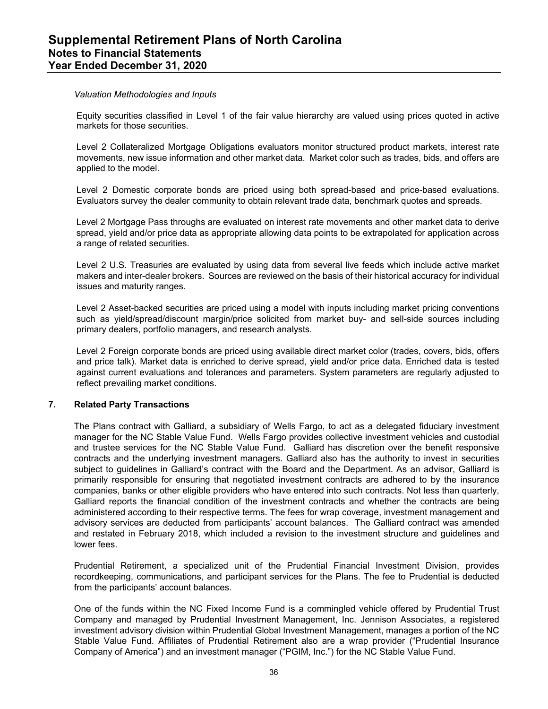#### *Valuation Methodologies and Inputs*

Equity securities classified in Level 1 of the fair value hierarchy are valued using prices quoted in active markets for those securities.

Level 2 Collateralized Mortgage Obligations evaluators monitor structured product markets, interest rate movements, new issue information and other market data. Market color such as trades, bids, and offers are applied to the model.

Level 2 Domestic corporate bonds are priced using both spread-based and price-based evaluations. Evaluators survey the dealer community to obtain relevant trade data, benchmark quotes and spreads.

Level 2 Mortgage Pass throughs are evaluated on interest rate movements and other market data to derive spread, yield and/or price data as appropriate allowing data points to be extrapolated for application across a range of related securities.

Level 2 U.S. Treasuries are evaluated by using data from several live feeds which include active market makers and inter-dealer brokers. Sources are reviewed on the basis of their historical accuracy for individual issues and maturity ranges.

Level 2 Asset-backed securities are priced using a model with inputs including market pricing conventions such as yield/spread/discount margin/price solicited from market buy- and sell-side sources including primary dealers, portfolio managers, and research analysts.

Level 2 Foreign corporate bonds are priced using available direct market color (trades, covers, bids, offers and price talk). Market data is enriched to derive spread, yield and/or price data. Enriched data is tested against current evaluations and tolerances and parameters. System parameters are regularly adjusted to reflect prevailing market conditions.

#### **7. Related Party Transactions**

The Plans contract with Galliard, a subsidiary of Wells Fargo, to act as a delegated fiduciary investment manager for the NC Stable Value Fund. Wells Fargo provides collective investment vehicles and custodial and trustee services for the NC Stable Value Fund. Galliard has discretion over the benefit responsive contracts and the underlying investment managers. Galliard also has the authority to invest in securities subject to guidelines in Galliard's contract with the Board and the Department. As an advisor, Galliard is primarily responsible for ensuring that negotiated investment contracts are adhered to by the insurance companies, banks or other eligible providers who have entered into such contracts. Not less than quarterly, Galliard reports the financial condition of the investment contracts and whether the contracts are being administered according to their respective terms. The fees for wrap coverage, investment management and advisory services are deducted from participants' account balances. The Galliard contract was amended and restated in February 2018, which included a revision to the investment structure and guidelines and lower fees.

Prudential Retirement, a specialized unit of the Prudential Financial Investment Division, provides recordkeeping, communications, and participant services for the Plans. The fee to Prudential is deducted from the participants' account balances.

One of the funds within the NC Fixed Income Fund is a commingled vehicle offered by Prudential Trust Company and managed by Prudential Investment Management, Inc. Jennison Associates, a registered investment advisory division within Prudential Global Investment Management, manages a portion of the NC Stable Value Fund. Affiliates of Prudential Retirement also are a wrap provider ("Prudential Insurance Company of America") and an investment manager ("PGIM, Inc.") for the NC Stable Value Fund.